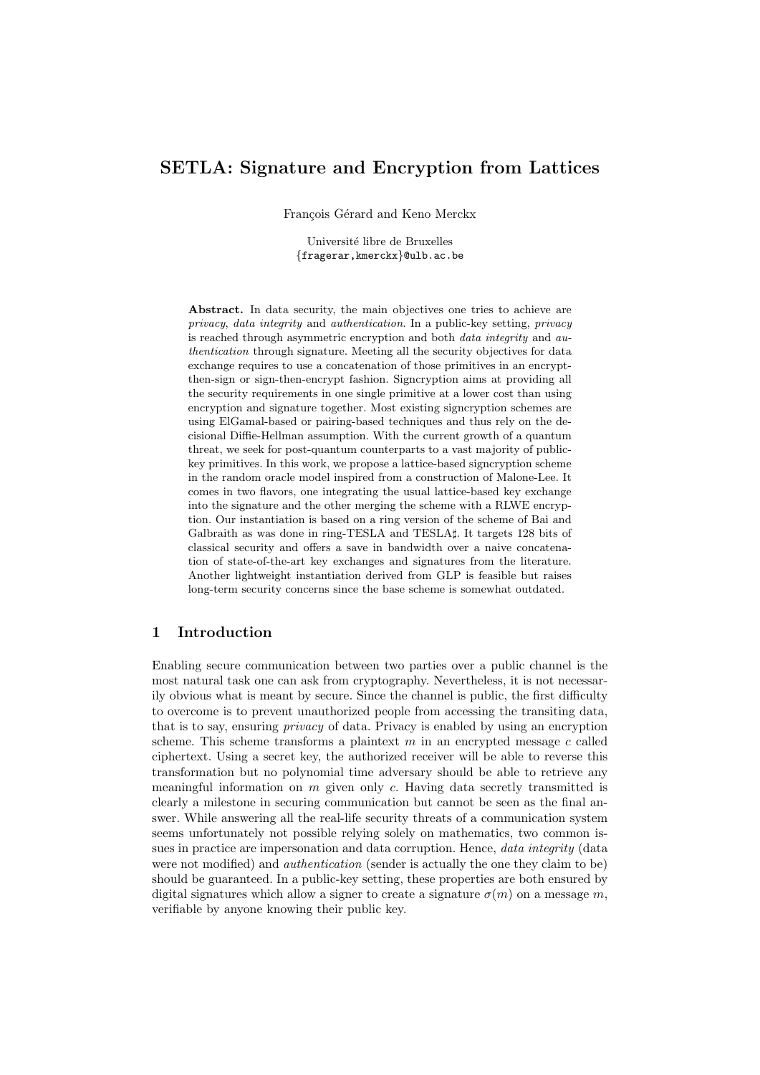# SETLA: Signature and Encryption from Lattices

François Gérard and Keno Merckx

Université libre de Bruxelles {fragerar,kmerckx}@ulb.ac.be

Abstract. In data security, the main objectives one tries to achieve are privacy, data integrity and authentication. In a public-key setting, privacy is reached through asymmetric encryption and both *data integrity* and *au*thentication through signature. Meeting all the security objectives for data exchange requires to use a concatenation of those primitives in an encryptthen-sign or sign-then-encrypt fashion. Signcryption aims at providing all the security requirements in one single primitive at a lower cost than using encryption and signature together. Most existing signcryption schemes are using ElGamal-based or pairing-based techniques and thus rely on the decisional Diffie-Hellman assumption. With the current growth of a quantum threat, we seek for post-quantum counterparts to a vast majority of publickey primitives. In this work, we propose a lattice-based signcryption scheme in the random oracle model inspired from a construction of Malone-Lee. It comes in two flavors, one integrating the usual lattice-based key exchange into the signature and the other merging the scheme with a RLWE encryption. Our instantiation is based on a ring version of the scheme of Bai and Galbraith as was done in ring-TESLA and TESLA]. It targets 128 bits of classical security and offers a save in bandwidth over a naive concatenation of state-of-the-art key exchanges and signatures from the literature. Another lightweight instantiation derived from GLP is feasible but raises long-term security concerns since the base scheme is somewhat outdated.

# 1 Introduction

Enabling secure communication between two parties over a public channel is the most natural task one can ask from cryptography. Nevertheless, it is not necessarily obvious what is meant by secure. Since the channel is public, the first difficulty to overcome is to prevent unauthorized people from accessing the transiting data, that is to say, ensuring privacy of data. Privacy is enabled by using an encryption scheme. This scheme transforms a plaintext  $m$  in an encrypted message  $c$  called ciphertext. Using a secret key, the authorized receiver will be able to reverse this transformation but no polynomial time adversary should be able to retrieve any meaningful information on  $m$  given only  $c$ . Having data secretly transmitted is clearly a milestone in securing communication but cannot be seen as the final answer. While answering all the real-life security threats of a communication system seems unfortunately not possible relying solely on mathematics, two common issues in practice are impersonation and data corruption. Hence, *data integrity* (data were not modified) and *authentication* (sender is actually the one they claim to be) should be guaranteed. In a public-key setting, these properties are both ensured by digital signatures which allow a signer to create a signature  $\sigma(m)$  on a message m, verifiable by anyone knowing their public key.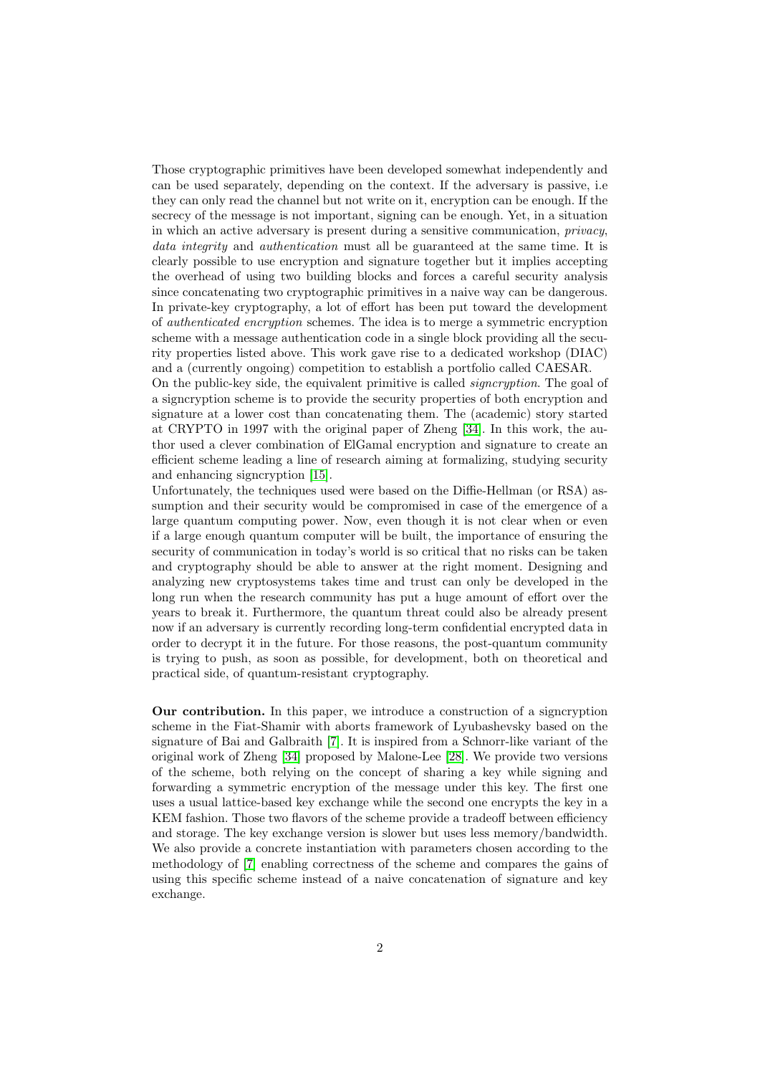Those cryptographic primitives have been developed somewhat independently and can be used separately, depending on the context. If the adversary is passive, i.e they can only read the channel but not write on it, encryption can be enough. If the secrecy of the message is not important, signing can be enough. Yet, in a situation in which an active adversary is present during a sensitive communication, privacy, data integrity and *authentication* must all be guaranteed at the same time. It is clearly possible to use encryption and signature together but it implies accepting the overhead of using two building blocks and forces a careful security analysis since concatenating two cryptographic primitives in a naive way can be dangerous. In private-key cryptography, a lot of effort has been put toward the development of authenticated encryption schemes. The idea is to merge a symmetric encryption scheme with a message authentication code in a single block providing all the security properties listed above. This work gave rise to a dedicated workshop (DIAC) and a (currently ongoing) competition to establish a portfolio called CAESAR.

On the public-key side, the equivalent primitive is called *signcryption*. The goal of a signcryption scheme is to provide the security properties of both encryption and signature at a lower cost than concatenating them. The (academic) story started at CRYPTO in 1997 with the original paper of Zheng [\[34\]](#page-18-0). In this work, the author used a clever combination of ElGamal encryption and signature to create an efficient scheme leading a line of research aiming at formalizing, studying security and enhancing signcryption [\[15\]](#page-17-0).

Unfortunately, the techniques used were based on the Diffie-Hellman (or RSA) assumption and their security would be compromised in case of the emergence of a large quantum computing power. Now, even though it is not clear when or even if a large enough quantum computer will be built, the importance of ensuring the security of communication in today's world is so critical that no risks can be taken and cryptography should be able to answer at the right moment. Designing and analyzing new cryptosystems takes time and trust can only be developed in the long run when the research community has put a huge amount of effort over the years to break it. Furthermore, the quantum threat could also be already present now if an adversary is currently recording long-term confidential encrypted data in order to decrypt it in the future. For those reasons, the post-quantum community is trying to push, as soon as possible, for development, both on theoretical and practical side, of quantum-resistant cryptography.

Our contribution. In this paper, we introduce a construction of a signcryption scheme in the Fiat-Shamir with aborts framework of Lyubashevsky based on the signature of Bai and Galbraith [\[7\]](#page-17-1). It is inspired from a Schnorr-like variant of the original work of Zheng [\[34\]](#page-18-0) proposed by Malone-Lee [\[28\]](#page-18-1). We provide two versions of the scheme, both relying on the concept of sharing a key while signing and forwarding a symmetric encryption of the message under this key. The first one uses a usual lattice-based key exchange while the second one encrypts the key in a KEM fashion. Those two flavors of the scheme provide a tradeoff between efficiency and storage. The key exchange version is slower but uses less memory/bandwidth. We also provide a concrete instantiation with parameters chosen according to the methodology of [\[7\]](#page-17-1) enabling correctness of the scheme and compares the gains of using this specific scheme instead of a naive concatenation of signature and key exchange.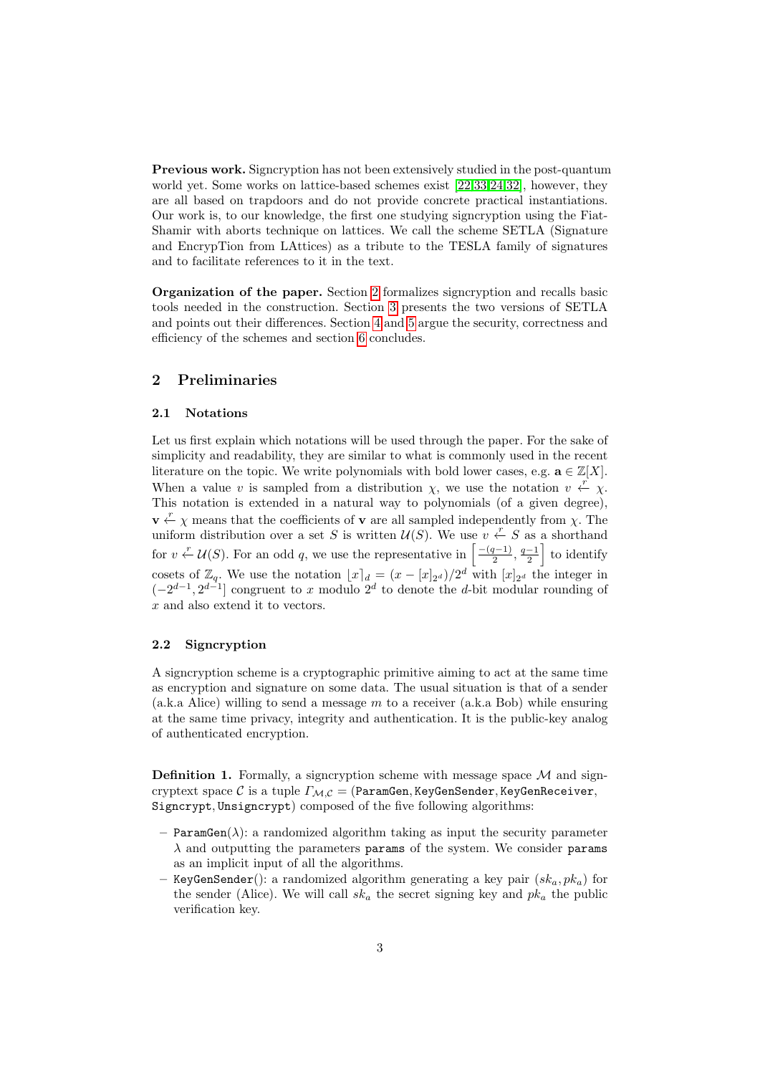**Previous work.** Signcryption has not been extensively studied in the post-quantum world yet. Some works on lattice-based schemes exist [\[22,](#page-18-2)[33](#page-18-3)[,24,](#page-18-4)[32\]](#page-18-5), however, they are all based on trapdoors and do not provide concrete practical instantiations. Our work is, to our knowledge, the first one studying signcryption using the Fiat-Shamir with aborts technique on lattices. We call the scheme SETLA (Signature and EncrypTion from LAttices) as a tribute to the TESLA family of signatures and to facilitate references to it in the text.

Organization of the paper. Section [2](#page-2-0) formalizes signcryption and recalls basic tools needed in the construction. Section [3](#page-6-0) presents the two versions of SETLA and points out their differences. Section [4](#page-11-0) and [5](#page-13-0) argue the security, correctness and efficiency of the schemes and section [6](#page-16-0) concludes.

# <span id="page-2-0"></span>2 Preliminaries

#### 2.1 Notations

Let us first explain which notations will be used through the paper. For the sake of simplicity and readability, they are similar to what is commonly used in the recent literature on the topic. We write polynomials with bold lower cases, e.g.  $\mathbf{a} \in \mathbb{Z}[X]$ . When a value v is sampled from a distribution  $\chi$ , we use the notation  $v \leftarrow \chi$ . This notation is extended in a natural way to polynomials (of a given degree),  $\mathbf{v} \leftarrow \chi$  means that the coefficients of **v** are all sampled independently from  $\chi$ . The uniform distribution over a set S is written  $\mathcal{U}(S)$ . We use  $v \leftarrow S$  as a shorthand for  $v \leftarrow \mathcal{U}(S)$ . For an odd q, we use the representative in  $\left\lceil \frac{-(q-1)}{2} \right\rceil$  $\left[\frac{q-1}{2}, \frac{q-1}{2}\right]$  to identify cosets of  $\mathbb{Z}_q$ . We use the notation  $\lfloor x \rceil_d = (x - [x]_{2^d})/2^d$  with  $[x]_{2^d}$  the integer in  $(-2^{d-1}, 2^{d-1}]$  congruent to x modulo  $2^d$  to denote the d-bit modular rounding of x and also extend it to vectors.

### 2.2 Signcryption

A signcryption scheme is a cryptographic primitive aiming to act at the same time as encryption and signature on some data. The usual situation is that of a sender (a.k.a Alice) willing to send a message  $m$  to a receiver (a.k.a Bob) while ensuring at the same time privacy, integrity and authentication. It is the public-key analog of authenticated encryption.

**Definition 1.** Formally, a signcryption scheme with message space  $\mathcal{M}$  and signcryptext space C is a tuple  $\Gamma_{\mathcal{M} C} =$  (ParamGen, KeyGenSender, KeyGenReceiver, Signcrypt, Unsigncrypt) composed of the five following algorithms:

- ParamGen( $\lambda$ ): a randomized algorithm taking as input the security parameter  $\lambda$  and outputting the parameters params of the system. We consider params as an implicit input of all the algorithms.
- KeyGenSender(): a randomized algorithm generating a key pair  $(s k_a, p k_a)$  for the sender (Alice). We will call  $sk_a$  the secret signing key and  $pk_a$  the public verification key.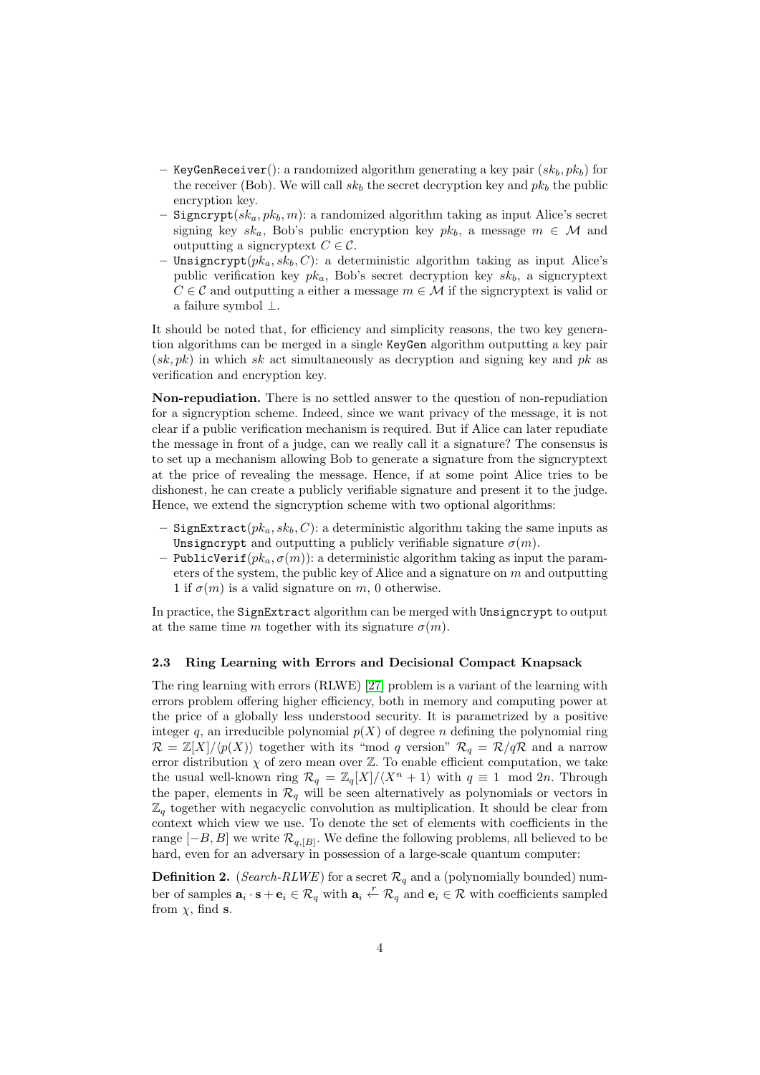- KeyGenReceiver(): a randomized algorithm generating a key pair  $(s k_b, p k_b)$  for the receiver (Bob). We will call  $sk_b$  the secret decryption key and  $pk_b$  the public encryption key.
- Signcrypt $(sk_a, pk_b, m$ : a randomized algorithm taking as input Alice's secret signing key  $sk_a$ , Bob's public encryption key  $pk_b$ , a message  $m \in \mathcal{M}$  and outputting a signcryptext  $C \in \mathcal{C}$ .
- Unsigncrypt $(pk_a, sk_b, C)$ : a deterministic algorithm taking as input Alice's public verification key  $pk_a$ . Bob's secret decryption key  $sk_b$ , a signcryptext  $C \in \mathcal{C}$  and outputting a either a message  $m \in \mathcal{M}$  if the signcryptext is valid or a failure symbol ⊥.

It should be noted that, for efficiency and simplicity reasons, the two key generation algorithms can be merged in a single KeyGen algorithm outputting a key pair  $(s, k, pk)$  in which sk act simultaneously as decryption and signing key and pk as verification and encryption key.

Non-repudiation. There is no settled answer to the question of non-repudiation for a signcryption scheme. Indeed, since we want privacy of the message, it is not clear if a public verification mechanism is required. But if Alice can later repudiate the message in front of a judge, can we really call it a signature? The consensus is to set up a mechanism allowing Bob to generate a signature from the signcryptext at the price of revealing the message. Hence, if at some point Alice tries to be dishonest, he can create a publicly verifiable signature and present it to the judge. Hence, we extend the signcryption scheme with two optional algorithms:

- SignExtract( $pk_a, sk_b, C$ ): a deterministic algorithm taking the same inputs as Unsigncrypt and outputting a publicly verifiable signature  $\sigma(m)$ .
- PublicVerif( $pk_a$ ,  $\sigma(m)$ ): a deterministic algorithm taking as input the parameters of the system, the public key of Alice and a signature on  $m$  and outputting 1 if  $\sigma(m)$  is a valid signature on m, 0 otherwise.

In practice, the SignExtract algorithm can be merged with Unsigncrypt to output at the same time m together with its signature  $\sigma(m)$ .

### 2.3 Ring Learning with Errors and Decisional Compact Knapsack

The ring learning with errors (RLWE) [\[27\]](#page-18-6) problem is a variant of the learning with errors problem offering higher efficiency, both in memory and computing power at the price of a globally less understood security. It is parametrized by a positive integer q, an irreducible polynomial  $p(X)$  of degree n defining the polynomial ring  $\mathcal{R} = \mathbb{Z}[X]/\langle p(X) \rangle$  together with its "mod q version"  $\mathcal{R}_q = \mathcal{R}/q\mathcal{R}$  and a narrow error distribution  $\chi$  of zero mean over  $\mathbb{Z}$ . To enable efficient computation, we take the usual well-known ring  $\mathcal{R}_q = \mathbb{Z}_q[X]/\langle X^n + 1 \rangle$  with  $q \equiv 1 \mod 2n$ . Through the paper, elements in  $\mathcal{R}_q$  will be seen alternatively as polynomials or vectors in  $\mathbb{Z}_q$  together with negacyclic convolution as multiplication. It should be clear from context which view we use. To denote the set of elements with coefficients in the range  $[-B, B]$  we write  $\mathcal{R}_{q, [B]}$ . We define the following problems, all believed to be hard, even for an adversary in possession of a large-scale quantum computer:

**Definition 2.** (*Search-RLWE*) for a secret  $\mathcal{R}_q$  and a (polynomially bounded) number of samples  $\mathbf{a}_i \cdot \mathbf{s} + \mathbf{e}_i \in \mathcal{R}_q$  with  $\mathbf{a}_i \stackrel{r}{\leftarrow} \mathcal{R}_q$  and  $\mathbf{e}_i \in \mathcal{R}$  with coefficients sampled from  $\chi$ , find **s**.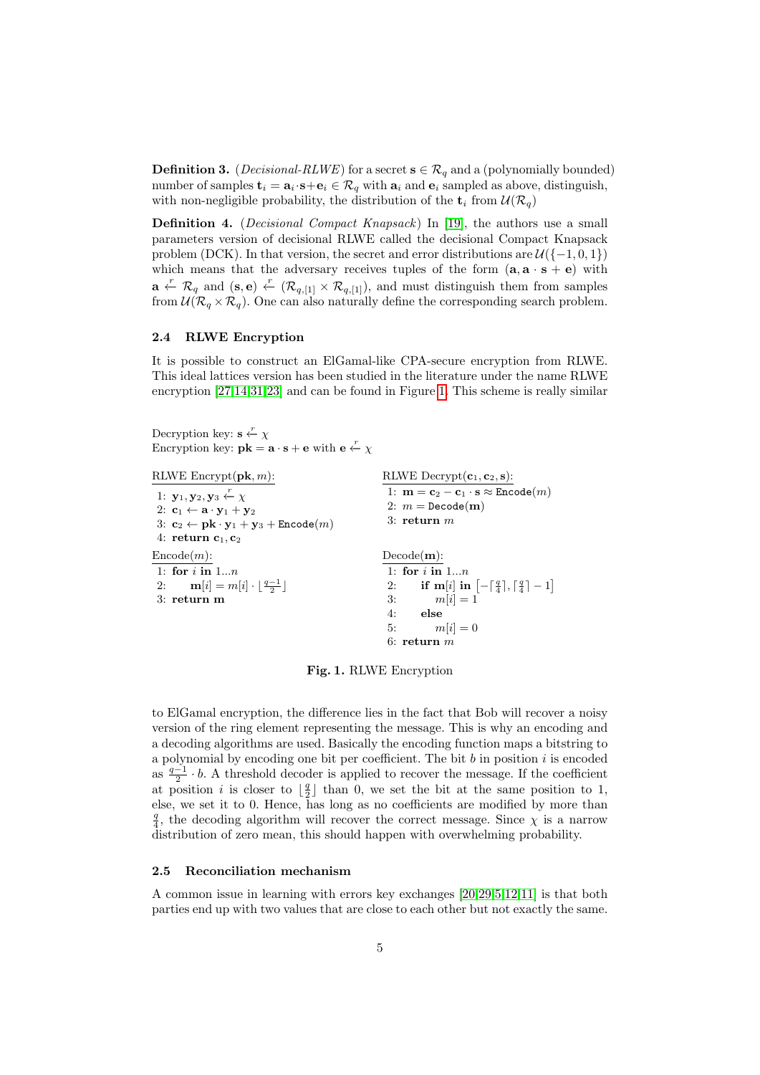**Definition 3.** (*Decisional-RLWE*) for a secret  $\mathbf{s} \in \mathcal{R}_q$  and a (polynomially bounded) number of samples  $\mathbf{t}_i = \mathbf{a}_i \cdot \mathbf{s} + \mathbf{e}_i \in \mathcal{R}_q$  with  $\mathbf{a}_i$  and  $\mathbf{e}_i$  sampled as above, distinguish, with non-negligible probability, the distribution of the  $\mathbf{t}_i$  from  $\mathcal{U}(\mathcal{R}_q)$ 

**Definition 4.** (*Decisional Compact Knapsack*) In [\[19\]](#page-17-2), the authors use a small parameters version of decisional RLWE called the decisional Compact Knapsack problem (DCK). In that version, the secret and error distributions are  $\mathcal{U}\left\{\{-1,0,1\}\right\}$ which means that the adversary receives tuples of the form  $(a, a \cdot s + e)$  with  $\mathbf{a} \leftarrow \mathcal{R}_q$  and  $(\mathbf{s}, \mathbf{e}) \leftarrow (\mathcal{R}_{q, [1]} \times \mathcal{R}_{q, [1]}),$  and must distinguish them from samples from  $\mathcal{U}(\mathcal{R}_q \times \mathcal{R}_q)$ . One can also naturally define the corresponding search problem.

### 2.4 RLWE Encryption

It is possible to construct an ElGamal-like CPA-secure encryption from RLWE. This ideal lattices version has been studied in the literature under the name RLWE encryption [\[27,](#page-18-6)[14,](#page-17-3)[31](#page-18-7)[,23\]](#page-18-8) and can be found in Figure [1.](#page-4-0) This scheme is really similar

Decryption key:  $\mathbf{s} \stackrel{r}{\leftarrow} \chi$ Encryption key:  $\mathbf{pk} = \mathbf{a} \cdot \mathbf{s} + \mathbf{e}$  with  $\mathbf{e} \stackrel{r}{\leftarrow} \chi$ 

| RLWE Encrypt $(\mathbf{pk}, m)$ :                                                                                                                                                                                                                                   | RLWE Decrypt $(c_1, c_2, s)$ :                                                                                                          |  |  |  |
|---------------------------------------------------------------------------------------------------------------------------------------------------------------------------------------------------------------------------------------------------------------------|-----------------------------------------------------------------------------------------------------------------------------------------|--|--|--|
| 1: $\mathbf{y}_1, \mathbf{y}_2, \mathbf{y}_3 \leftarrow \chi$<br>2: $\mathbf{c}_1 \leftarrow \mathbf{a} \cdot \mathbf{y}_1 + \mathbf{y}_2$<br>3: $\mathbf{c}_2 \leftarrow \mathbf{pk} \cdot \mathbf{y}_1 + \mathbf{y}_3 + \text{Encode}(m)$<br>4: return $c_1, c_2$ | 1: $\mathbf{m} = \mathbf{c}_2 - \mathbf{c}_1 \cdot \mathbf{s} \approx \texttt{Encode}(m)$<br>2: $m = \text{Decode}(m)$<br>3: return $m$ |  |  |  |
| $\text{Encode}(m)$ :                                                                                                                                                                                                                                                | $\rm{Decode}(\mathbf{m})$ :                                                                                                             |  |  |  |
| 1: for $i$ in 1 $n$                                                                                                                                                                                                                                                 | 1: for $i$ in 1 $n$                                                                                                                     |  |  |  |
| 2: $\mathbf{m}[i] = m[i] \cdot \lfloor \frac{q-1}{2} \rfloor$                                                                                                                                                                                                       | if m[i] in $\left[-\left[\frac{q}{4}\right], \left[\frac{q}{4}\right] - 1\right]$<br>2:                                                 |  |  |  |
| $3:$ return m                                                                                                                                                                                                                                                       | $m[i] = 1$<br>3:                                                                                                                        |  |  |  |
|                                                                                                                                                                                                                                                                     | else<br>4:                                                                                                                              |  |  |  |
|                                                                                                                                                                                                                                                                     | 5:<br>$m[i] = 0$                                                                                                                        |  |  |  |
|                                                                                                                                                                                                                                                                     | 6: return $m$                                                                                                                           |  |  |  |

Fig. 1. RLWE Encryption

<span id="page-4-0"></span>to ElGamal encryption, the difference lies in the fact that Bob will recover a noisy version of the ring element representing the message. This is why an encoding and a decoding algorithms are used. Basically the encoding function maps a bitstring to a polynomial by encoding one bit per coefficient. The bit  $b$  in position  $i$  is encoded as  $\frac{q-1}{2} \cdot b$ . A threshold decoder is applied to recover the message. If the coefficient at position i is closer to  $\lfloor \frac{q}{2} \rfloor$  than 0, we set the bit at the same position to 1, else, we set it to 0. Hence, has long as no coefficients are modified by more than  $\frac{q}{4}$ , the decoding algorithm will recover the correct message. Since  $\chi$  is a narrow distribution of zero mean, this should happen with overwhelming probability.

#### 2.5 Reconciliation mechanism

A common issue in learning with errors key exchanges [\[20,](#page-17-4)[29,](#page-18-9)[5,](#page-17-5)[12](#page-17-6)[,11\]](#page-17-7) is that both parties end up with two values that are close to each other but not exactly the same.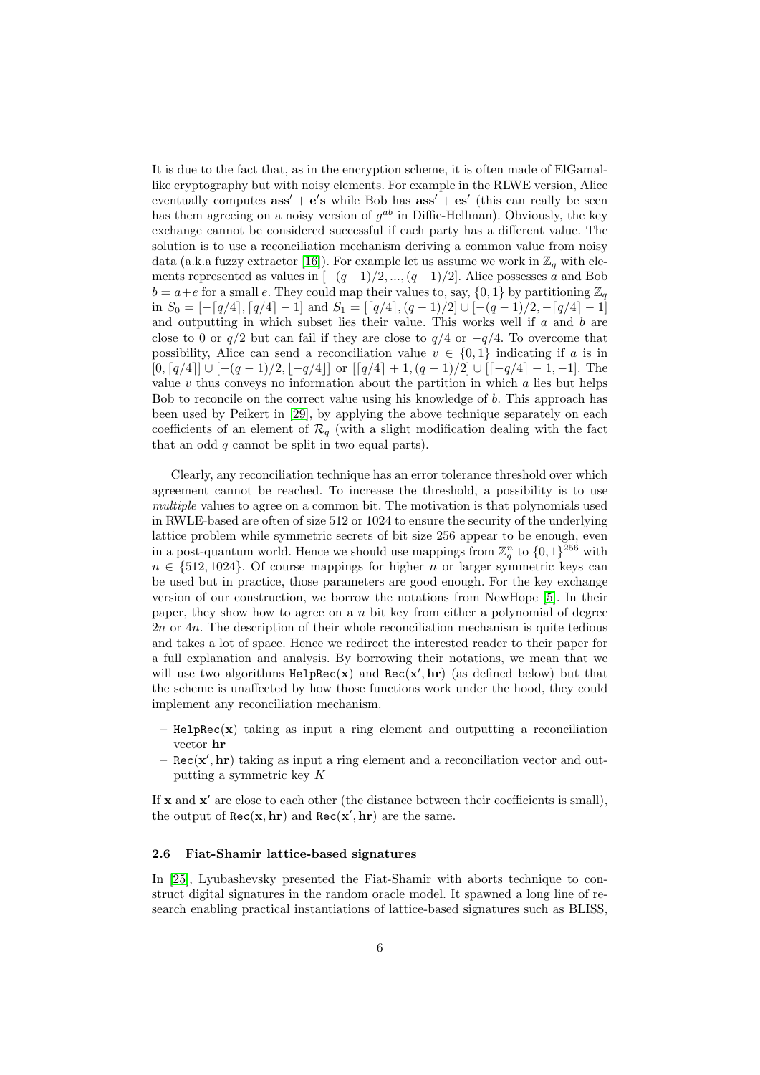It is due to the fact that, as in the encryption scheme, it is often made of ElGamallike cryptography but with noisy elements. For example in the RLWE version, Alice eventually computes  $\text{ass}'+\text{e}'\text{s}$  while Bob has  $\text{ass}'+\text{es}'$  (this can really be seen has them agreeing on a noisy version of  $g^{ab}$  in Diffie-Hellman). Obviously, the key exchange cannot be considered successful if each party has a different value. The solution is to use a reconciliation mechanism deriving a common value from noisy data (a.k.a fuzzy extractor [\[16\]](#page-17-8)). For example let us assume we work in  $\mathbb{Z}_q$  with elements represented as values in  $[-(q-1)/2, ..., (q-1)/2]$ . Alice possesses a and Bob  $b = a + e$  for a small e. They could map their values to, say,  $\{0, 1\}$  by partitioning  $\mathbb{Z}_q$ in  $S_0 = [-q/4], [q/4] - 1]$  and  $S_1 = [[q/4], (q-1)/2] \cup [-(q-1)/2, -[q/4] - 1]$ and outputting in which subset lies their value. This works well if  $a$  and  $b$  are close to 0 or  $q/2$  but can fail if they are close to  $q/4$  or  $-q/4$ . To overcome that possibility, Alice can send a reconciliation value  $v \in \{0, 1\}$  indicating if a is in  $[0, \lceil q/4 \rceil] \cup [-(q-1)/2, \lceil -q/4 \rceil]$  or  $\lceil \lceil q/4 \rceil + 1, (q-1)/2 \rceil \cup [(-q/4] - 1, -1]$ . The value  $v$  thus conveys no information about the partition in which  $a$  lies but helps Bob to reconcile on the correct value using his knowledge of b. This approach has been used by Peikert in [\[29\]](#page-18-9), by applying the above technique separately on each coefficients of an element of  $\mathcal{R}_q$  (with a slight modification dealing with the fact that an odd  $q$  cannot be split in two equal parts).

Clearly, any reconciliation technique has an error tolerance threshold over which agreement cannot be reached. To increase the threshold, a possibility is to use multiple values to agree on a common bit. The motivation is that polynomials used in RWLE-based are often of size 512 or 1024 to ensure the security of the underlying lattice problem while symmetric secrets of bit size 256 appear to be enough, even in a post-quantum world. Hence we should use mappings from  $\mathbb{Z}_q^n$  to  $\{0,1\}^{256}$  with  $n \in \{512, 1024\}$ . Of course mappings for higher n or larger symmetric keys can be used but in practice, those parameters are good enough. For the key exchange version of our construction, we borrow the notations from NewHope [\[5\]](#page-17-5). In their paper, they show how to agree on a  $n$  bit key from either a polynomial of degree 2n or 4n. The description of their whole reconciliation mechanism is quite tedious and takes a lot of space. Hence we redirect the interested reader to their paper for a full explanation and analysis. By borrowing their notations, we mean that we will use two algorithms  $\texttt{HelpRec}(x)$  and  $\texttt{Rec}(x',hr)$  (as defined below) but that the scheme is unaffected by how those functions work under the hood, they could implement any reconciliation mechanism.

- $H \neq L$  taking as input a ring element and outputting a reconciliation vector hr
- $-$  Rec( $\mathbf{x}'$ ,  $\mathbf{hr}$ ) taking as input a ring element and a reconciliation vector and outputting a symmetric key K

If  $x$  and  $x'$  are close to each other (the distance between their coefficients is small), the output of  $\text{Rec}(x, hr)$  and  $\text{Rec}(x', hr)$  are the same.

#### 2.6 Fiat-Shamir lattice-based signatures

In [\[25\]](#page-18-10), Lyubashevsky presented the Fiat-Shamir with aborts technique to construct digital signatures in the random oracle model. It spawned a long line of research enabling practical instantiations of lattice-based signatures such as BLISS,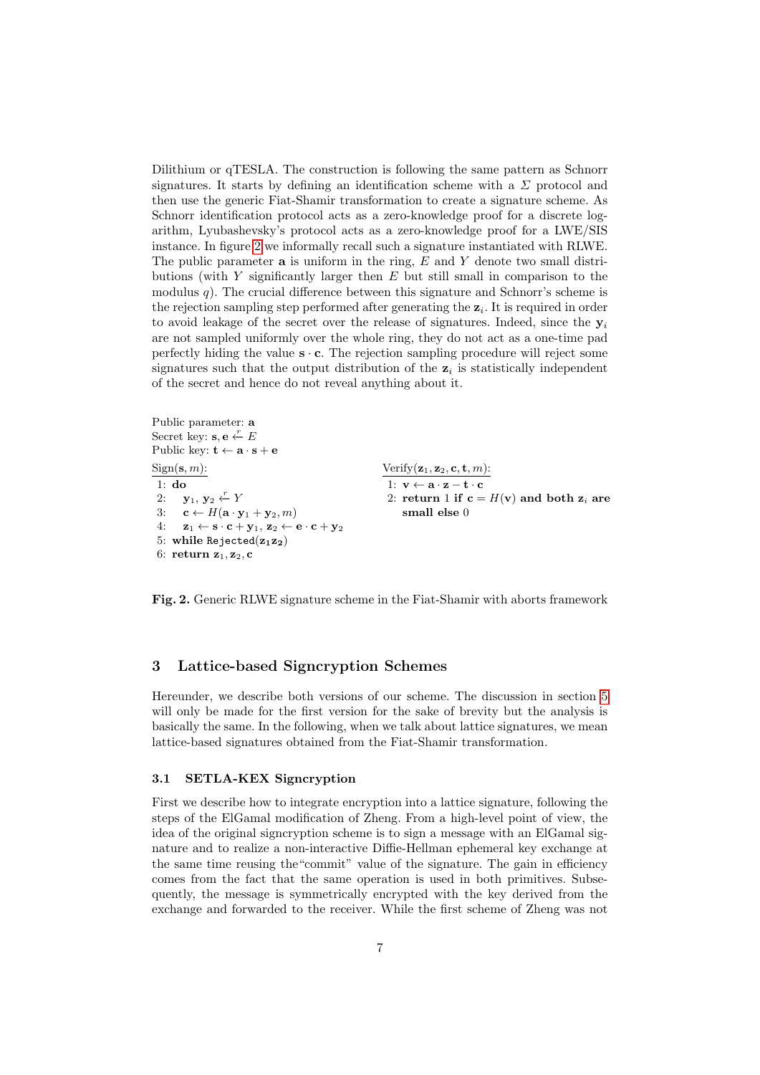Dilithium or qTESLA. The construction is following the same pattern as Schnorr signatures. It starts by defining an identification scheme with a  $\Sigma$  protocol and then use the generic Fiat-Shamir transformation to create a signature scheme. As Schnorr identification protocol acts as a zero-knowledge proof for a discrete logarithm, Lyubashevsky's protocol acts as a zero-knowledge proof for a LWE/SIS instance. In figure [2](#page-6-1) we informally recall such a signature instantiated with RLWE. The public parameter  $\bf{a}$  is uniform in the ring,  $E$  and  $Y$  denote two small distributions (with  $Y$  significantly larger then  $E$  but still small in comparison to the modulus  $q$ ). The crucial difference between this signature and Schnorr's scheme is the rejection sampling step performed after generating the  $z_i$ . It is required in order to avoid leakage of the secret over the release of signatures. Indeed, since the  $y_i$ are not sampled uniformly over the whole ring, they do not act as a one-time pad perfectly hiding the value  $s \cdot c$ . The rejection sampling procedure will reject some signatures such that the output distribution of the  $z_i$  is statistically independent of the secret and hence do not reveal anything about it.

```
Public parameter: a
Secret key: \mathbf{s}, \mathbf{e} \leftarrow EPublic key: \mathbf{t} \leftarrow \mathbf{a} \cdot \mathbf{s} + \mathbf{e}Sign(s, m):
1: do
  2: \mathbf{y}_1, \mathbf{y}_2 \leftarrow Y3: \mathbf{c} \leftarrow H(\mathbf{a} \cdot \mathbf{y}_1 + \mathbf{y}_2, m)4: \mathbf{z}_1 \leftarrow \mathbf{s} \cdot \mathbf{c} + \mathbf{y}_1, \mathbf{z}_2 \leftarrow \mathbf{e} \cdot \mathbf{c} + \mathbf{y}_25: while Rejected(z_1z_2)6: return z_1, z_2, c
                                                                                          Verify(z_1, z_2, c, t, m):
                                                                                           1: \mathbf{v} \leftarrow \mathbf{a} \cdot \mathbf{z} - \mathbf{t} \cdot \mathbf{c}2: return 1 if c = H(v) and both z_i are
                                                                                                 small else 0
```
<span id="page-6-1"></span>Fig. 2. Generic RLWE signature scheme in the Fiat-Shamir with aborts framework

### <span id="page-6-0"></span>3 Lattice-based Signcryption Schemes

Hereunder, we describe both versions of our scheme. The discussion in section [5](#page-13-0) will only be made for the first version for the sake of brevity but the analysis is basically the same. In the following, when we talk about lattice signatures, we mean lattice-based signatures obtained from the Fiat-Shamir transformation.

### 3.1 SETLA-KEX Signcryption

First we describe how to integrate encryption into a lattice signature, following the steps of the ElGamal modification of Zheng. From a high-level point of view, the idea of the original signcryption scheme is to sign a message with an ElGamal signature and to realize a non-interactive Diffie-Hellman ephemeral key exchange at the same time reusing the"commit" value of the signature. The gain in efficiency comes from the fact that the same operation is used in both primitives. Subsequently, the message is symmetrically encrypted with the key derived from the exchange and forwarded to the receiver. While the first scheme of Zheng was not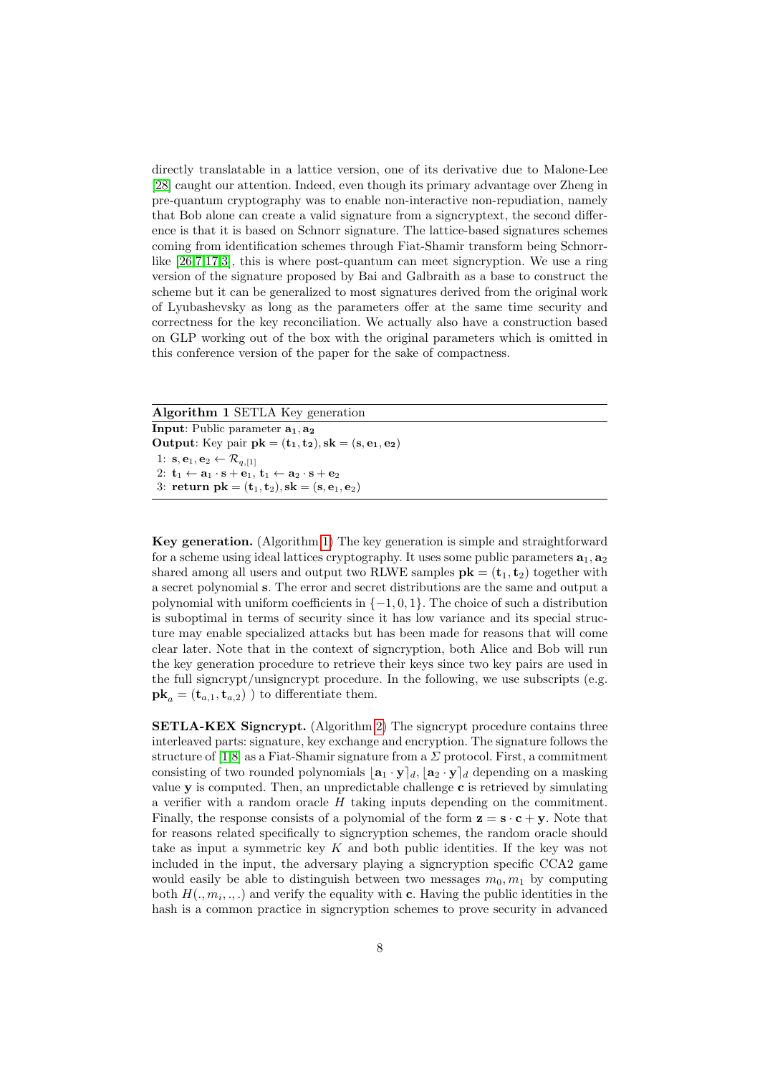directly translatable in a lattice version, one of its derivative due to Malone-Lee [\[28\]](#page-18-1) caught our attention. Indeed, even though its primary advantage over Zheng in pre-quantum cryptography was to enable non-interactive non-repudiation, namely that Bob alone can create a valid signature from a signcryptext, the second difference is that it is based on Schnorr signature. The lattice-based signatures schemes coming from identification schemes through Fiat-Shamir transform being Schnorrlike [\[26](#page-18-11)[,7](#page-17-1)[,17,](#page-17-9)[3\]](#page-17-10), this is where post-quantum can meet signcryption. We use a ring version of the signature proposed by Bai and Galbraith as a base to construct the scheme but it can be generalized to most signatures derived from the original work of Lyubashevsky as long as the parameters offer at the same time security and correctness for the key reconciliation. We actually also have a construction based on GLP working out of the box with the original parameters which is omitted in this conference version of the paper for the sake of compactness.

<span id="page-7-0"></span>Algorithm 1 SETLA Key generation  $\overline{\text{Input:}$  Public parameter  $a_1, a_2$ Output: Key pair  $pk = (t_1, t_2), sk = (s, e_1, e_2)$ 1:  $\mathbf{s}, \mathbf{e}_1, \mathbf{e}_2 \leftarrow \mathcal{R}_{q,[1]}$ 2:  $\mathbf{t}_1 \leftarrow \mathbf{a}_1 \cdot \mathbf{s} + \mathbf{e}_1, \mathbf{t}_1 \leftarrow \mathbf{a}_2 \cdot \mathbf{s} + \mathbf{e}_2$ 3: return  $pk = (t_1, t_2), sk = (s, e_1, e_2)$ 

Key generation. (Algorithm [1\)](#page-7-0) The key generation is simple and straightforward for a scheme using ideal lattices cryptography. It uses some public parameters  $\mathbf{a}_1, \mathbf{a}_2$ shared among all users and output two RLWE samples  $\mathbf{pk} = (\mathbf{t}_1, \mathbf{t}_2)$  together with a secret polynomial s. The error and secret distributions are the same and output a polynomial with uniform coefficients in  $\{-1, 0, 1\}$ . The choice of such a distribution is suboptimal in terms of security since it has low variance and its special structure may enable specialized attacks but has been made for reasons that will come clear later. Note that in the context of signcryption, both Alice and Bob will run the key generation procedure to retrieve their keys since two key pairs are used in the full signcrypt/unsigncrypt procedure. In the following, we use subscripts (e.g.  $\mathbf{pk}_{a} = (\mathbf{t}_{a,1}, \mathbf{t}_{a,2})$  ) to differentiate them.

**SETLA-KEX Signcrypt.** (Algorithm [2\)](#page-8-0) The signcrypt procedure contains three interleaved parts: signature, key exchange and encryption. The signature follows the structure of [\[1,](#page-16-1)[8\]](#page-17-11) as a Fiat-Shamir signature from a  $\Sigma$  protocol. First, a commitment consisting of two rounded polynomials  $[\mathbf{a}_1 \cdot \mathbf{y}]_d$ ,  $[\mathbf{a}_2 \cdot \mathbf{y}]_d$  depending on a masking value  $y$  is computed. Then, an unpredictable challenge  $c$  is retrieved by simulating a verifier with a random oracle  $H$  taking inputs depending on the commitment. Finally, the response consists of a polynomial of the form  $z = s \cdot c + y$ . Note that for reasons related specifically to signcryption schemes, the random oracle should take as input a symmetric key K and both public identities. If the key was not included in the input, the adversary playing a signcryption specific CCA2 game would easily be able to distinguish between two messages  $m_0, m_1$  by computing both  $H(., m_i,.,.)$  and verify the equality with **c**. Having the public identities in the hash is a common practice in signcryption schemes to prove security in advanced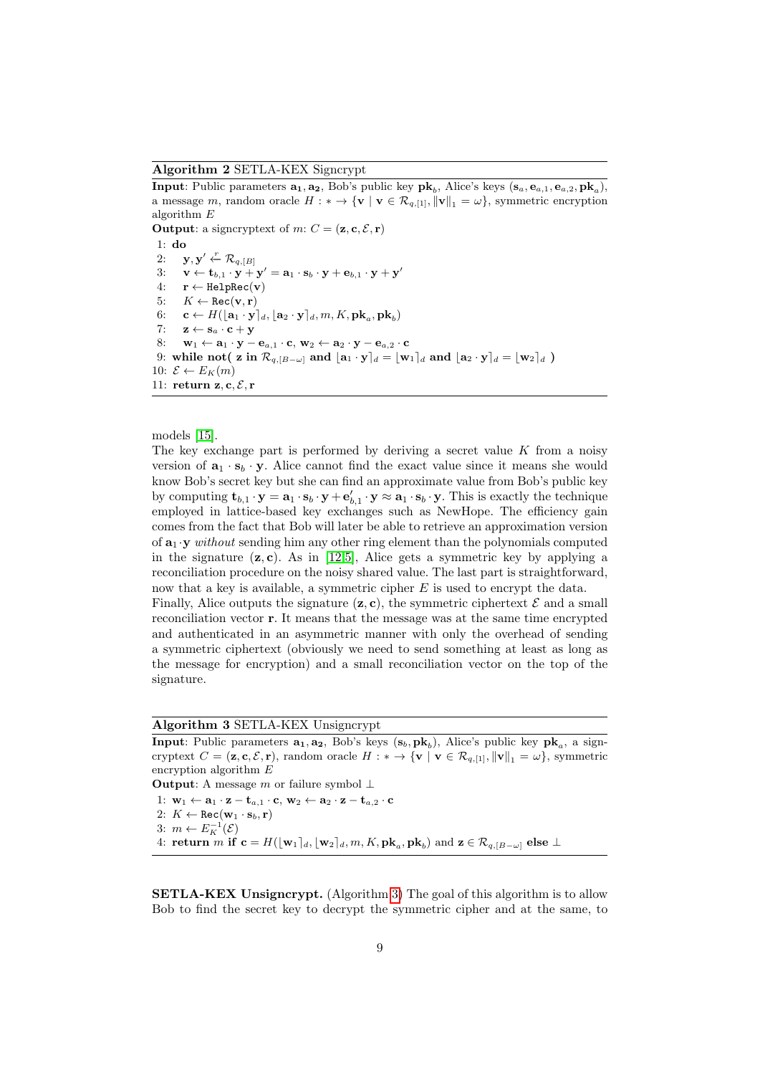#### Algorithm 2 SETLA-KEX Signcrypt

<span id="page-8-0"></span>**Input**: Public parameters  $a_1, a_2$ , Bob's public key  $pk_b$ , Alice's keys  $(s_a, e_{a,1}, e_{a,2}, pk_a)$ , a message m, random oracle  $H : * \to \{v \mid v \in \mathcal{R}_{q,1}, ||v||_1 = \omega\}$ , symmetric encryption algorithm  $E$ **Output:** a signcryptext of m:  $C = (\mathbf{z}, \mathbf{c}, \mathcal{E}, \mathbf{r})$ 1: do 2:  $\mathbf{y}, \mathbf{y}' \leftarrow \mathcal{R}_{q,[B]}$  $3: \quad \mathbf{v} \leftarrow \mathbf{t}_{b,1} \cdot \mathbf{y} + \mathbf{y}' = \mathbf{a}_1 \cdot \mathbf{s}_b \cdot \mathbf{y} + \mathbf{e}_{b,1} \cdot \mathbf{y} + \mathbf{y}'$ 4:  $\mathbf{r} \leftarrow \text{HelpRec}(\mathbf{v})$ 5:  $K \leftarrow \text{Rec}(\mathbf{v}, \mathbf{r})$ 6:  $\mathbf{c} \leftarrow H([\mathbf{a}_1 \cdot \mathbf{y}]_d, [\mathbf{a}_2 \cdot \mathbf{y}]_d, m, K, \mathbf{pk}_a, \mathbf{pk}_b)$ 7:  $\mathbf{z} \leftarrow \mathbf{s}_a \cdot \mathbf{c} + \mathbf{y}$ 8:  $\mathbf{w}_1 \leftarrow \mathbf{a}_1 \cdot \mathbf{y} - \mathbf{e}_{a,1} \cdot \mathbf{c}, \mathbf{w}_2 \leftarrow \mathbf{a}_2 \cdot \mathbf{y} - \mathbf{e}_{a,2} \cdot \mathbf{c}$ 9: while not( z in  $\mathcal{R}_{q,[B-\omega]}$  and  $[\mathbf{a}_1 \cdot \mathbf{y}]_d = [\mathbf{w}_1]_d$  and  $[\mathbf{a}_2 \cdot \mathbf{y}]_d = [\mathbf{w}_2]_d$ ) 10:  $\mathcal{E} \leftarrow E_K(m)$ 11: return  $z, c, \mathcal{E}, r$ 

models [\[15\]](#page-17-0).

The key exchange part is performed by deriving a secret value  $K$  from a noisy version of  $\mathbf{a}_1 \cdot \mathbf{s}_b \cdot \mathbf{y}$ . Alice cannot find the exact value since it means she would know Bob's secret key but she can find an approximate value from Bob's public key by computing  $\mathbf{t}_{b,1} \cdot \mathbf{y} = \mathbf{a}_1 \cdot \mathbf{s}_b \cdot \mathbf{y} + \mathbf{e}'_{b,1} \cdot \mathbf{y} \approx \mathbf{a}_1 \cdot \mathbf{s}_b \cdot \mathbf{y}$ . This is exactly the technique employed in lattice-based key exchanges such as NewHope. The efficiency gain comes from the fact that Bob will later be able to retrieve an approximation version of  $\mathbf{a}_1 \cdot \mathbf{y}$  without sending him any other ring element than the polynomials computed in the signature  $(z, c)$ . As in [\[12,](#page-17-6)[5\]](#page-17-5), Alice gets a symmetric key by applying a reconciliation procedure on the noisy shared value. The last part is straightforward, now that a key is available, a symmetric cipher  $E$  is used to encrypt the data. Finally, Alice outputs the signature  $(z, c)$ , the symmetric ciphertext  $\mathcal E$  and a small

reconciliation vector r. It means that the message was at the same time encrypted and authenticated in an asymmetric manner with only the overhead of sending a symmetric ciphertext (obviously we need to send something at least as long as the message for encryption) and a small reconciliation vector on the top of the signature.

# Algorithm 3 SETLA-KEX Unsigncrypt

<span id="page-8-1"></span>**Input**: Public parameters  $\mathbf{a}_1, \mathbf{a}_2$ , Bob's keys  $(\mathbf{s}_b, \mathbf{pk}_b)$ , Alice's public key  $\mathbf{pk}_a$ , a signcryptext  $C = (\mathbf{z}, \mathbf{c}, \mathcal{E}, \mathbf{r})$ , random oracle  $H : * \to \{ \mathbf{v} \mid \mathbf{v} \in \mathcal{R}_{q,1} \mid \| \mathbf{v} \|_1 = \omega \}$ , symmetric encryption algorithm E **Output:** A message m or failure symbol  $\perp$ 

1:  $\mathbf{w}_1 \leftarrow \mathbf{a}_1 \cdot \mathbf{z} - \mathbf{t}_{a,1} \cdot \mathbf{c}, \mathbf{w}_2 \leftarrow \mathbf{a}_2 \cdot \mathbf{z} - \mathbf{t}_{a,2} \cdot \mathbf{c}$ 2:  $K \leftarrow \text{Rec}(\mathbf{w}_1 \cdot \mathbf{s}_b, \mathbf{r})$ 3:  $m \leftarrow E_K^{-1}(\mathcal{E})$ 4: return m if  $\mathbf{c} = H(\lfloor \mathbf{w}_1 \rfloor_d, \lfloor \mathbf{w}_2 \rfloor_d, m, K, \mathbf{pk}_a, \mathbf{pk}_b)$  and  $\mathbf{z} \in \mathcal{R}_{q, [B-\omega]}$  else  $\bot$ 

SETLA-KEX Unsigncrypt. (Algorithm [3\)](#page-8-1) The goal of this algorithm is to allow Bob to find the secret key to decrypt the symmetric cipher and at the same, to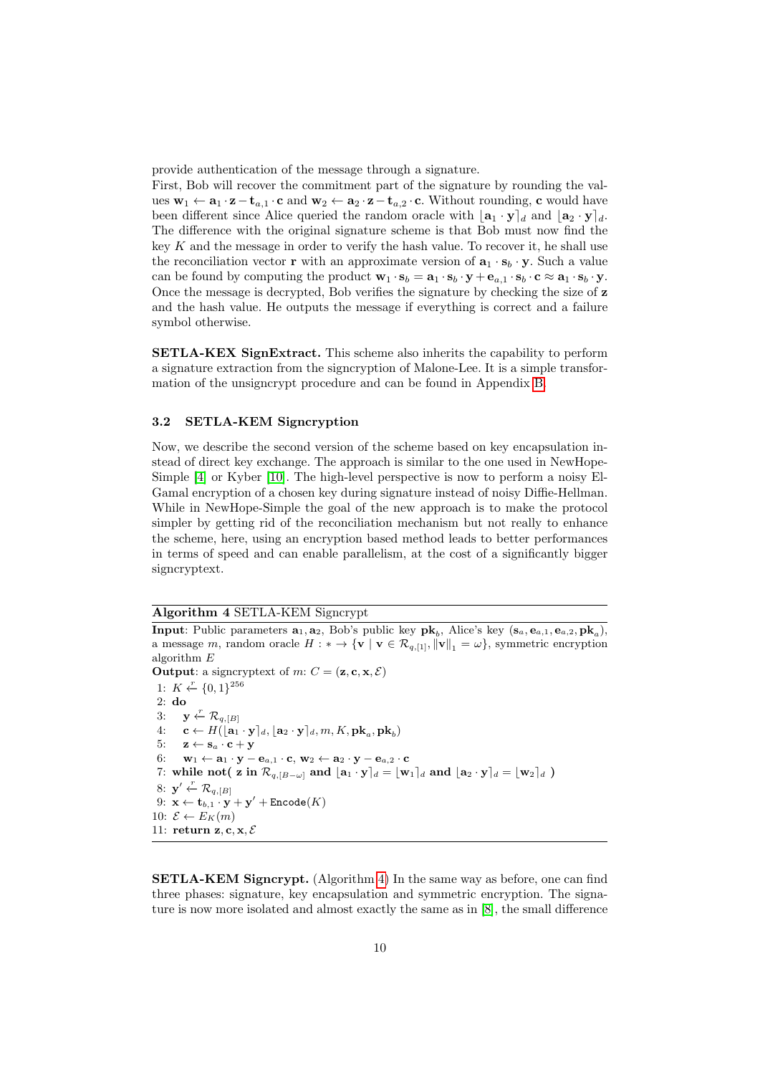provide authentication of the message through a signature.

First, Bob will recover the commitment part of the signature by rounding the values  $\mathbf{w}_1 \leftarrow \mathbf{a}_1 \cdot \mathbf{z} - \mathbf{t}_{a,1} \cdot \mathbf{c}$  and  $\mathbf{w}_2 \leftarrow \mathbf{a}_2 \cdot \mathbf{z} - \mathbf{t}_{a,2} \cdot \mathbf{c}$ . Without rounding, **c** would have been different since Alice queried the random oracle with  $[\mathbf{a}_1 \cdot \mathbf{y}]_d$  and  $[\mathbf{a}_2 \cdot \mathbf{y}]_d$ . The difference with the original signature scheme is that Bob must now find the key  $K$  and the message in order to verify the hash value. To recover it, he shall use the reconciliation vector **r** with an approximate version of  $\mathbf{a}_1 \cdot \mathbf{s}_b \cdot \mathbf{y}$ . Such a value can be found by computing the product  $\mathbf{w}_1 \cdot \mathbf{s}_b = \mathbf{a}_1 \cdot \mathbf{s}_b \cdot \mathbf{y} + \mathbf{e}_{a,1} \cdot \mathbf{s}_b \cdot \mathbf{c} \approx \mathbf{a}_1 \cdot \mathbf{s}_b \cdot \mathbf{y}$ . Once the message is decrypted, Bob verifies the signature by checking the size of z and the hash value. He outputs the message if everything is correct and a failure symbol otherwise.

**SETLA-KEX SignExtract.** This scheme also inherits the capability to perform a signature extraction from the signcryption of Malone-Lee. It is a simple transformation of the unsigncrypt procedure and can be found in Appendix [B.](#page-20-0)

#### 3.2 SETLA-KEM Signcryption

Now, we describe the second version of the scheme based on key encapsulation instead of direct key exchange. The approach is similar to the one used in NewHope-Simple [\[4\]](#page-17-12) or Kyber [\[10\]](#page-17-13). The high-level perspective is now to perform a noisy El-Gamal encryption of a chosen key during signature instead of noisy Diffie-Hellman. While in NewHope-Simple the goal of the new approach is to make the protocol simpler by getting rid of the reconciliation mechanism but not really to enhance the scheme, here, using an encryption based method leads to better performances in terms of speed and can enable parallelism, at the cost of a significantly bigger signcryptext.

### Algorithm 4 SETLA-KEM Signcrypt

<span id="page-9-0"></span>**Input**: Public parameters  $\mathbf{a}_1, \mathbf{a}_2$ , Bob's public key  $\mathbf{pk}_b$ , Alice's key  $(\mathbf{s}_a, \mathbf{e}_{a,1}, \mathbf{e}_{a,2}, \mathbf{pk}_a)$ , a message m, random oracle  $H : * \to \{v \mid v \in \mathcal{R}_{q,[1]}, ||v||_1 = \omega\}$ , symmetric encryption algorithm E **Output:** a signcryptext of m:  $C = (\mathbf{z}, \mathbf{c}, \mathbf{x}, \mathcal{E})$ 1:  $K \leftarrow \{0, 1\}^{256}$ 2: do 3:  $\mathbf{y} \leftarrow \mathcal{R}_{q,[B]}$ 4:  $\mathbf{c} \leftarrow H([\mathbf{a}_1 \cdot \mathbf{y}]_d, [\mathbf{a}_2 \cdot \mathbf{y}]_d, m, K, \mathbf{pk}_a, \mathbf{pk}_b)$ 5:  $\mathbf{z} \leftarrow \mathbf{s}_a \cdot \mathbf{c} + \mathbf{y}$ 6:  $\mathbf{w}_1 \leftarrow \mathbf{a}_1 \cdot \mathbf{y} - \mathbf{e}_{a,1} \cdot \mathbf{c}, \mathbf{w}_2 \leftarrow \mathbf{a}_2 \cdot \mathbf{y} - \mathbf{e}_{a,2} \cdot \mathbf{c}$ 7: while not( z in  $\mathcal{R}_{q,[B-\omega]}$  and  $[a_1 \cdot y]_d = [w_1]_d$  and  $[a_2 \cdot y]_d = [w_2]_d$ ) 8:  $\mathbf{y}' \leftarrow \mathcal{R}_{q,[B]}$ 9:  $\mathbf{x} \leftarrow \mathbf{t}_{b,1} \cdot \mathbf{y} + \mathbf{y}' + \text{Encode}(K)$ 10:  $\mathcal{E} \leftarrow E_K(m)$ 11: return  $z, c, x, \mathcal{E}$ 

SETLA-KEM Signcrypt. (Algorithm [4\)](#page-9-0) In the same way as before, one can find three phases: signature, key encapsulation and symmetric encryption. The signature is now more isolated and almost exactly the same as in [\[8\]](#page-17-11), the small difference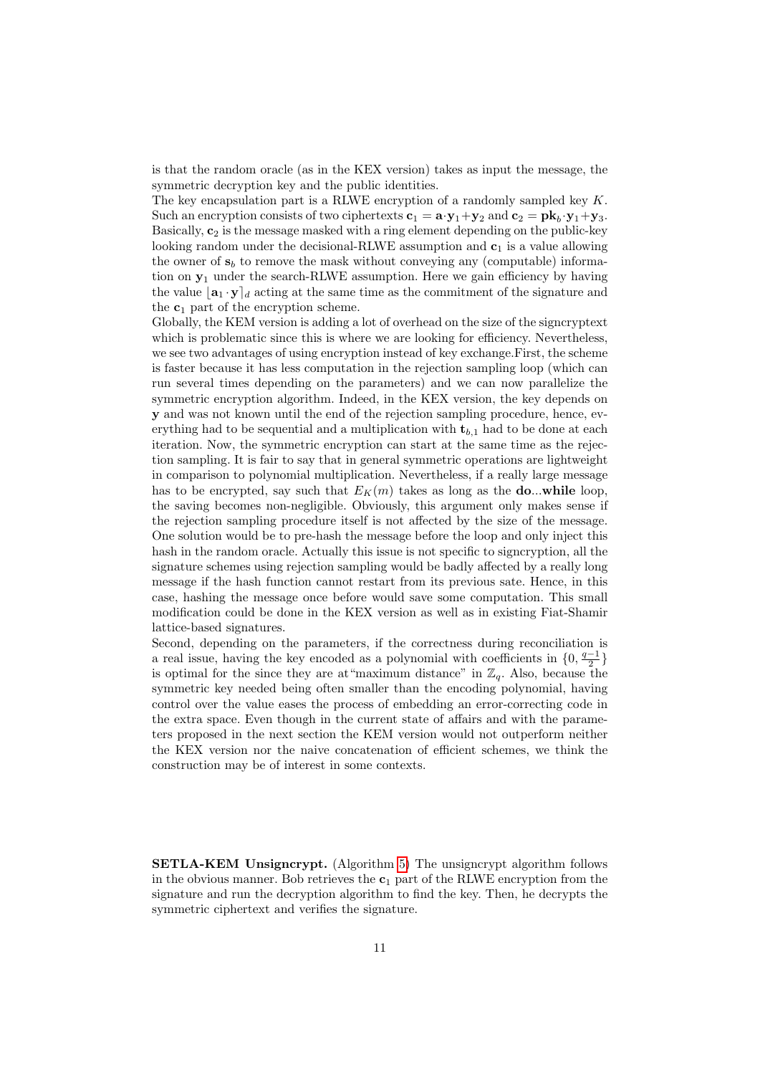is that the random oracle (as in the KEX version) takes as input the message, the symmetric decryption key and the public identities.

The key encapsulation part is a RLWE encryption of a randomly sampled key  $K$ . Such an encryption consists of two ciphertexts  $c_1 = a \cdot y_1 + y_2$  and  $c_2 = p k_b \cdot y_1 + y_3$ . Basically,  $c_2$  is the message masked with a ring element depending on the public-key looking random under the decisional-RLWE assumption and  $c_1$  is a value allowing the owner of  $s<sub>b</sub>$  to remove the mask without conveying any (computable) information on  $y_1$  under the search-RLWE assumption. Here we gain efficiency by having the value  $[\mathbf{a}_1 \cdot \mathbf{y}]_d$  acting at the same time as the commitment of the signature and the  $c_1$  part of the encryption scheme.

Globally, the KEM version is adding a lot of overhead on the size of the signcryptext which is problematic since this is where we are looking for efficiency. Nevertheless, we see two advantages of using encryption instead of key exchange.First, the scheme is faster because it has less computation in the rejection sampling loop (which can run several times depending on the parameters) and we can now parallelize the symmetric encryption algorithm. Indeed, in the KEX version, the key depends on y and was not known until the end of the rejection sampling procedure, hence, everything had to be sequential and a multiplication with  $t_{b,1}$  had to be done at each iteration. Now, the symmetric encryption can start at the same time as the rejection sampling. It is fair to say that in general symmetric operations are lightweight in comparison to polynomial multiplication. Nevertheless, if a really large message has to be encrypted, say such that  $E_K(m)$  takes as long as the **do...while** loop, the saving becomes non-negligible. Obviously, this argument only makes sense if the rejection sampling procedure itself is not affected by the size of the message. One solution would be to pre-hash the message before the loop and only inject this hash in the random oracle. Actually this issue is not specific to signcryption, all the signature schemes using rejection sampling would be badly affected by a really long message if the hash function cannot restart from its previous sate. Hence, in this case, hashing the message once before would save some computation. This small modification could be done in the KEX version as well as in existing Fiat-Shamir lattice-based signatures.

Second, depending on the parameters, if the correctness during reconciliation is a real issue, having the key encoded as a polynomial with coefficients in  $\{0, \frac{q-1}{2}\}$ is optimal for the since they are at "maximum distance" in  $\mathbb{Z}_q$ . Also, because the symmetric key needed being often smaller than the encoding polynomial, having control over the value eases the process of embedding an error-correcting code in the extra space. Even though in the current state of affairs and with the parameters proposed in the next section the KEM version would not outperform neither the KEX version nor the naive concatenation of efficient schemes, we think the construction may be of interest in some contexts.

SETLA-KEM Unsigncrypt. (Algorithm [5\)](#page-11-1) The unsigncrypt algorithm follows in the obvious manner. Bob retrieves the  $c_1$  part of the RLWE encryption from the signature and run the decryption algorithm to find the key. Then, he decrypts the symmetric ciphertext and verifies the signature.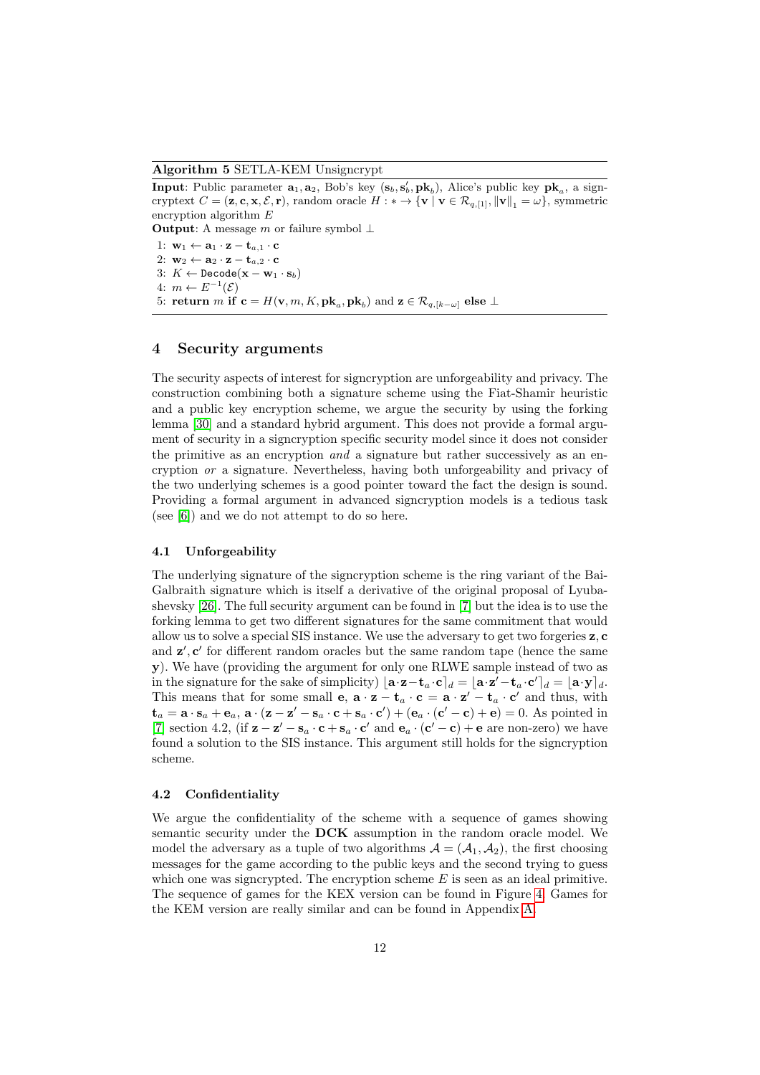#### Algorithm 5 SETLA-KEM Unsigncrypt

<span id="page-11-1"></span>Input: Public parameter  $a_1, a_2$ , Bob's key  $(s_b, s'_b, pk_b)$ , Alice's public key  $pk_a$ , a signcryptext  $C = (\mathbf{z}, \mathbf{c}, \mathbf{x}, \mathcal{E}, \mathbf{r})$ , random oracle  $H : * \to \{ \mathbf{v} \mid \mathbf{v} \in \mathcal{R}_{q, [1]}, ||\mathbf{v}||_1 = \omega \}$ , symmetric encryption algorithm E Output: A message m or failure symbol  $\perp$ 1:  $\mathbf{w}_1 \leftarrow \mathbf{a}_1 \cdot \mathbf{z} - \mathbf{t}_{a,1} \cdot \mathbf{c}$ 2:  $\mathbf{w}_2 \leftarrow \mathbf{a}_2 \cdot \mathbf{z} - \mathbf{t}_{a,2} \cdot \mathbf{c}$ 3:  $K \leftarrow \texttt{Decode}(\mathbf{x} - \mathbf{w}_1 \cdot \mathbf{s}_b)$ 4:  $m \leftarrow E^{-1}(\mathcal{E})$ 5: return *m* if  $c = H(v, m, K, pk_a, pk_b)$  and  $z \in \mathcal{R}_{q,[k-\omega]}$  else  $\perp$ 

### <span id="page-11-0"></span>4 Security arguments

The security aspects of interest for signcryption are unforgeability and privacy. The construction combining both a signature scheme using the Fiat-Shamir heuristic and a public key encryption scheme, we argue the security by using the forking lemma [\[30\]](#page-18-12) and a standard hybrid argument. This does not provide a formal argument of security in a signcryption specific security model since it does not consider the primitive as an encryption  $and$  a signature but rather successively as an encryption or a signature. Nevertheless, having both unforgeability and privacy of the two underlying schemes is a good pointer toward the fact the design is sound. Providing a formal argument in advanced signcryption models is a tedious task (see [\[6\]](#page-17-14)) and we do not attempt to do so here.

### 4.1 Unforgeability

The underlying signature of the signcryption scheme is the ring variant of the Bai-Galbraith signature which is itself a derivative of the original proposal of Lyubashevsky [\[26\]](#page-18-11). The full security argument can be found in [\[7\]](#page-17-1) but the idea is to use the forking lemma to get two different signatures for the same commitment that would allow us to solve a special SIS instance. We use the adversary to get two forgeries z, c and  $z', c'$  for different random oracles but the same random tape (hence the same y). We have (providing the argument for only one RLWE sample instead of two as in the signature for the sake of simplicity)  $[\mathbf{a} \cdot \mathbf{z} - \mathbf{t}_a \cdot \mathbf{c}]_d = [\mathbf{a} \cdot \mathbf{z}' - \mathbf{t}_a \cdot \mathbf{c}']_d = [\mathbf{a} \cdot \mathbf{y}]_d$ . This means that for some small **e**,  $\mathbf{a} \cdot \mathbf{z} - \mathbf{t}_a \cdot \mathbf{c} = \mathbf{a} \cdot \mathbf{z}' - \mathbf{t}_a \cdot \mathbf{c}'$  and thus, with  $\mathbf{t}_a = \mathbf{a} \cdot \mathbf{s}_a + \mathbf{e}_a$ ,  $\mathbf{a} \cdot (\mathbf{z} - \mathbf{z}' - \mathbf{s}_a \cdot \mathbf{c} + \mathbf{s}_a \cdot \mathbf{c}') + (\mathbf{e}_a \cdot (\mathbf{c}' - \mathbf{c}) + \mathbf{e}) = 0$ . As pointed in [\[7\]](#page-17-1) section 4.2, (if  $\mathbf{z} - \mathbf{z}' - \mathbf{s}_a \cdot \mathbf{c} + \mathbf{s}_a \cdot \mathbf{c}'$  and  $\mathbf{e}_a \cdot (\mathbf{c}' - \mathbf{c}) + \mathbf{e}$  are non-zero) we have found a solution to the SIS instance. This argument still holds for the signcryption scheme.

#### <span id="page-11-2"></span>4.2 Confidentiality

We argue the confidentiality of the scheme with a sequence of games showing semantic security under the DCK assumption in the random oracle model. We model the adversary as a tuple of two algorithms  $\mathcal{A} = (\mathcal{A}_1, \mathcal{A}_2)$ , the first choosing messages for the game according to the public keys and the second trying to guess which one was signcrypted. The encryption scheme  $E$  is seen as an ideal primitive. The sequence of games for the KEX version can be found in Figure [4.](#page-19-0) Games for the KEM version are really similar and can be found in Appendix [A.](#page-19-1)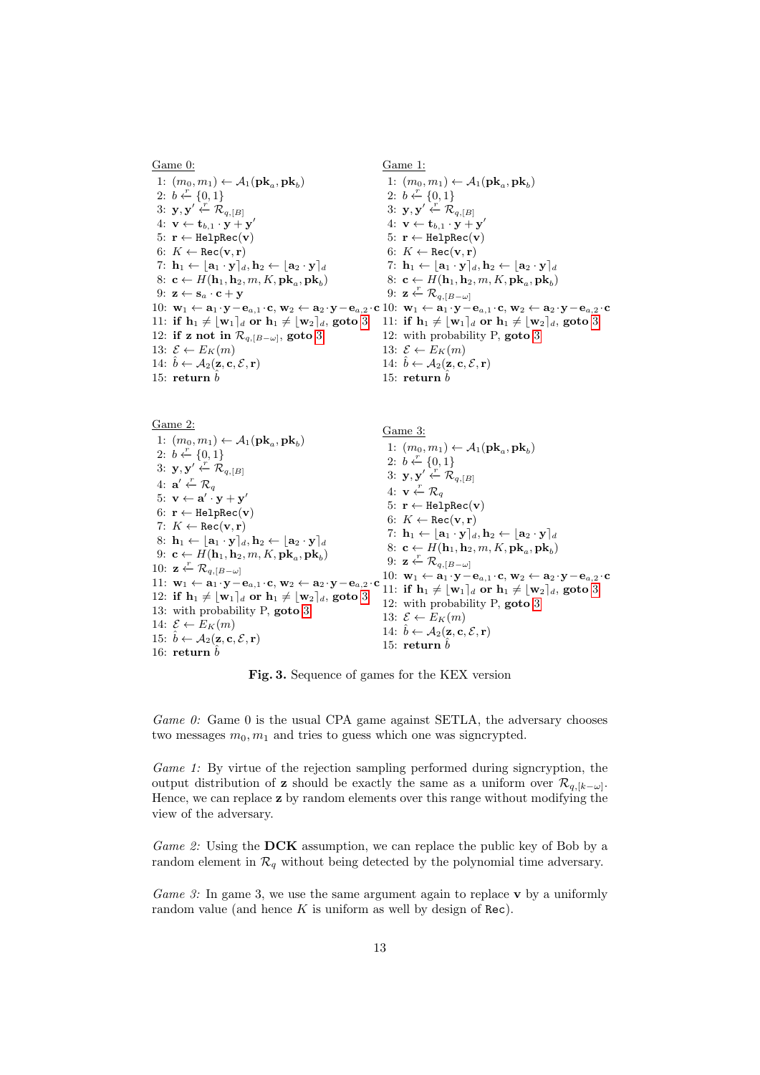Game 0: 1:  $(m_0, m_1) \leftarrow \mathcal{A}_1(\mathbf{pk}_a, \mathbf{pk}_b)$ 2:  $b \leftarrow \{0, 1\}$ 3:  $\mathbf{y}, \mathbf{y}' \leftarrow \mathcal{R}_{q,[B]}$ 4:  $\mathbf{v} \leftarrow \mathbf{t}_{b,1} \cdot \mathbf{y} + \mathbf{y}'$ 5:  $r \leftarrow \text{HelpRec}(v)$ 6:  $K \leftarrow \text{Rec}(\mathbf{v}, \mathbf{r})$ 7:  $\mathbf{h}_1 \leftarrow [\mathbf{a}_1 \cdot \mathbf{y}]_d, \mathbf{h}_2 \leftarrow [\mathbf{a}_2 \cdot \mathbf{y}]_d$ 8:  $\mathbf{c} \leftarrow H(\mathbf{h}_1, \mathbf{h}_2, m, K, \mathbf{pk}_a, \mathbf{pk}_b)$ 9:  $\mathbf{z} \leftarrow \mathbf{s}_a \cdot \mathbf{c} + \mathbf{y}$ 10:  $\mathbf{w}_1 \leftarrow \mathbf{a}_1 \cdot \mathbf{y} - \mathbf{e}_{a,1} \cdot \mathbf{c}, \mathbf{w}_2 \leftarrow \mathbf{a}_2 \cdot \mathbf{y} - \mathbf{e}_{a,2} \cdot \mathbf{c}$  10:  $\mathbf{w}_1 \leftarrow \mathbf{a}_1 \cdot \mathbf{y} - \mathbf{e}_{a,1} \cdot \mathbf{c}, \mathbf{w}_2 \leftarrow \mathbf{a}_2 \cdot \mathbf{y} - \mathbf{e}_{a,2} \cdot \mathbf{c}$ 11: if  $\mathbf{h}_1 \neq [\mathbf{w}_1]_d$  or  $\mathbf{h}_1 \neq [\mathbf{w}_2]_d$ , goto [3](#page-11-2) 11: if  $\mathbf{h}_1 \neq [\mathbf{w}_1]_d$  or  $\mathbf{h}_1 \neq [\mathbf{w}_2]_d$ , goto 3 12: if z not in  $\mathcal{R}_{q,[B-\omega]}$ , goto [3](#page-11-2) 13:  $\mathcal{E} \leftarrow E_K(m)$ 14:  $\hat{b} \leftarrow A_2(\mathbf{z}, \mathbf{c}, \mathcal{E}, \mathbf{r})$ 15: return  $\hat{b}$ Game 1: 1:  $(m_0, m_1) \leftarrow \mathcal{A}_1(\mathbf{pk}_a, \mathbf{pk}_b)$ 2:  $\vec{b} \leftarrow \{0, 1\}$ 3:  $\mathbf{y}, \mathbf{y}' \leftarrow \mathcal{R}_{q,[B]}$ 4:  $\mathbf{v} \leftarrow \mathbf{t}_{b,1} \cdot \mathbf{y} + \mathbf{y}'$ 5:  $r \leftarrow \text{HelpRec}(v)$ 6:  $K \leftarrow \text{Rec}(\mathbf{v}, \mathbf{r})$ 7:  $\mathbf{h}_1 \leftarrow [\mathbf{a}_1 \cdot \mathbf{y}]_d, \mathbf{h}_2 \leftarrow [\mathbf{a}_2 \cdot \mathbf{y}]_d$ 8:  $\mathbf{c} \leftarrow H(\mathbf{h}_1, \mathbf{h}_2, m, K, \mathbf{pk}_a, \mathbf{pk}_b)$ 9:  $\mathbf{z} \leftarrow \mathcal{R}_{q,[B-\omega]}$ 12: with probability P, goto [3](#page-11-2) 13:  $\mathcal{E} \leftarrow E_K(m)$ 14:  $\hat{b} \leftarrow A_2(\mathbf{z}, \mathbf{c}, \mathcal{E}, \mathbf{r})$ 15: return  $\hat{b}$ 



Fig. 3. Sequence of games for the KEX version

Game 0: Game 0 is the usual CPA game against SETLA, the adversary chooses two messages  $m_0$ ,  $m_1$  and tries to guess which one was signcrypted.

Game 1: By virtue of the rejection sampling performed during signcryption, the output distribution of **z** should be exactly the same as a uniform over  $\mathcal{R}_{q,[k-\omega]}$ . Hence, we can replace z by random elements over this range without modifying the view of the adversary.

*Game 2:* Using the **DCK** assumption, we can replace the public key of Bob by a random element in  $\mathcal{R}_q$  without being detected by the polynomial time adversary.

*Game 3:* In game 3, we use the same argument again to replace  $\bf{v}$  by a uniformly random value (and hence  $K$  is uniform as well by design of Rec).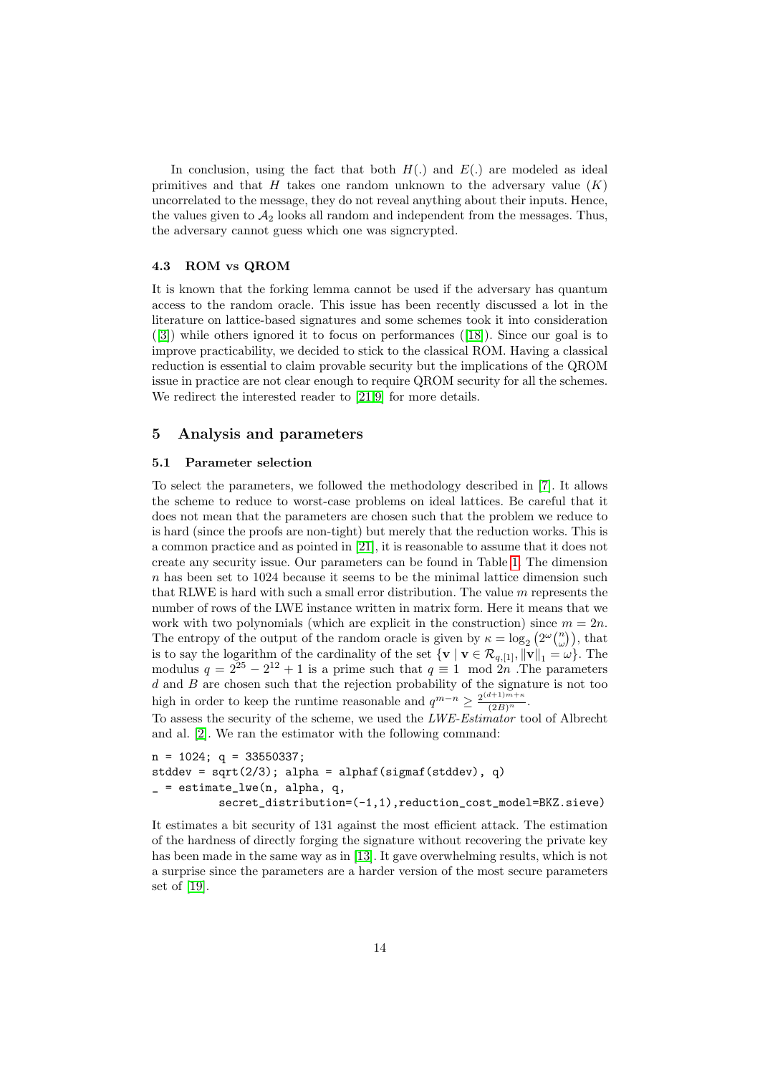In conclusion, using the fact that both  $H(.)$  and  $E(.)$  are modeled as ideal primitives and that H takes one random unknown to the adversary value  $(K)$ uncorrelated to the message, they do not reveal anything about their inputs. Hence, the values given to  $A_2$  looks all random and independent from the messages. Thus, the adversary cannot guess which one was signcrypted.

#### 4.3 ROM vs QROM

It is known that the forking lemma cannot be used if the adversary has quantum access to the random oracle. This issue has been recently discussed a lot in the literature on lattice-based signatures and some schemes took it into consideration ([\[3\]](#page-17-10)) while others ignored it to focus on performances ([\[18\]](#page-17-15)). Since our goal is to improve practicability, we decided to stick to the classical ROM. Having a classical reduction is essential to claim provable security but the implications of the QROM issue in practice are not clear enough to require QROM security for all the schemes. We redirect the interested reader to [\[21,](#page-18-13)[9\]](#page-17-16) for more details.

### <span id="page-13-0"></span>5 Analysis and parameters

### 5.1 Parameter selection

To select the parameters, we followed the methodology described in [\[7\]](#page-17-1). It allows the scheme to reduce to worst-case problems on ideal lattices. Be careful that it does not mean that the parameters are chosen such that the problem we reduce to is hard (since the proofs are non-tight) but merely that the reduction works. This is a common practice and as pointed in [\[21\]](#page-18-13), it is reasonable to assume that it does not create any security issue. Our parameters can be found in Table [1.](#page-14-0) The dimension  $n$  has been set to 1024 because it seems to be the minimal lattice dimension such that RLWE is hard with such a small error distribution. The value  $m$  represents the number of rows of the LWE instance written in matrix form. Here it means that we work with two polynomials (which are explicit in the construction) since  $m = 2n$ . The entropy of the output of the random oracle is given by  $\kappa = \log_2(2^{\omega} {n \choose \omega})$ , that is to say the logarithm of the cardinality of the set  $\{v \mid v \in \mathcal{R}_{q,[1]}, ||v||_1 = \omega\}$ . The modulus  $q = 2^{25} - 2^{12} + 1$  is a prime such that  $q \equiv 1 \mod 2n$ . The parameters  $d$  and  $B$  are chosen such that the rejection probability of the signature is not too high in order to keep the runtime reasonable and  $q^{m-n} \geq \frac{2^{(d+1)m+\kappa}}{(2B)^n}$ .

To assess the security of the scheme, we used the LWE-Estimator tool of Albrecht and al. [\[2\]](#page-16-2). We ran the estimator with the following command:

n = 1024; q = 33550337;  $stddev = sqrt(2/3)$ ; alpha = alphaf(sigmaf(stddev), q)  $=$  estimate\_lwe(n, alpha, q, secret\_distribution=(-1,1),reduction\_cost\_model=BKZ.sieve)

It estimates a bit security of 131 against the most efficient attack. The estimation of the hardness of directly forging the signature without recovering the private key has been made in the same way as in [\[13\]](#page-17-17). It gave overwhelming results, which is not a surprise since the parameters are a harder version of the most secure parameters set of [\[19\]](#page-17-2).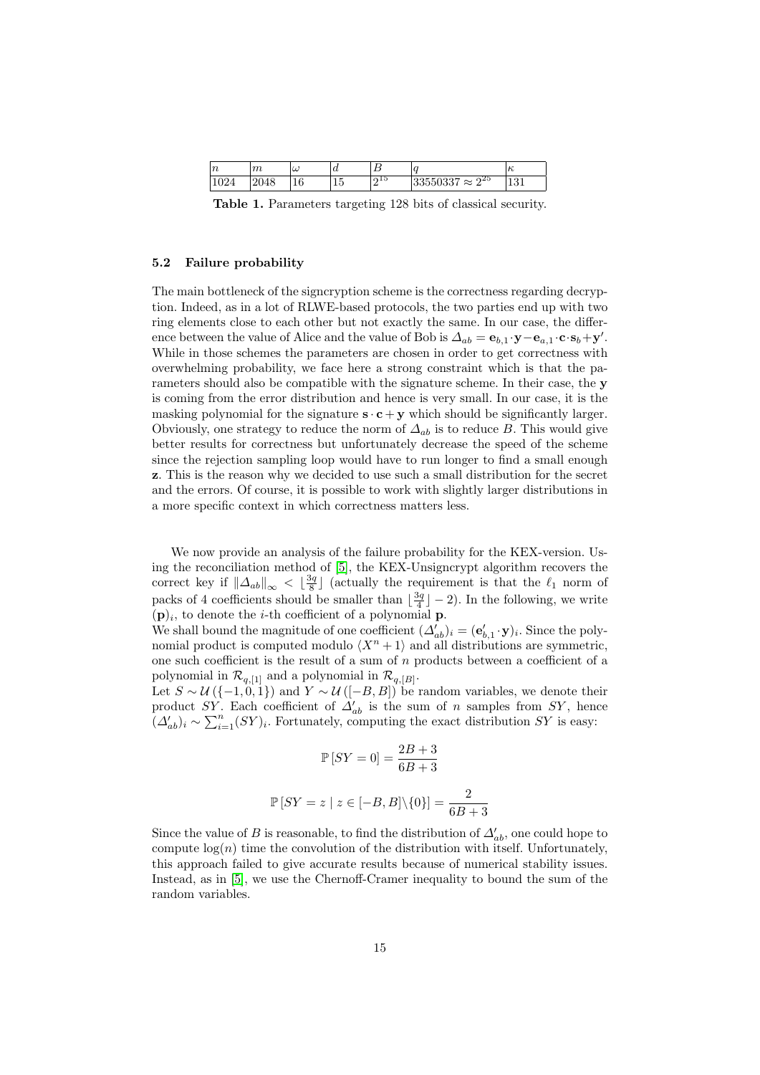<span id="page-14-0"></span>

| $\boldsymbol{n}$ | $_{m}$  | ندا           | $\bm{u}$                          | -      |                                                 | $\overline{\phantom{a}}$ |
|------------------|---------|---------------|-----------------------------------|--------|-------------------------------------------------|--------------------------|
| 10<br>⊥∪         | ъc<br>◡ | v<br><b>.</b> | $\tilde{\phantom{a}}$<br>r.<br>ŦΩ | 63 L U | ച്ച<br>$\sim$ $-$<br>$\approx$<br>∪⊖⊖<br>∠<br>ີ | ᆂᇦᆂ                      |

Table 1. Parameters targeting 128 bits of classical security.

### 5.2 Failure probability

The main bottleneck of the signcryption scheme is the correctness regarding decryption. Indeed, as in a lot of RLWE-based protocols, the two parties end up with two ring elements close to each other but not exactly the same. In our case, the difference between the value of Alice and the value of Bob is  $\Delta_{ab} = \mathbf{e}_{b,1} \cdot \mathbf{y} - \mathbf{e}_{a,1} \cdot \mathbf{c} \cdot \mathbf{s}_b + \mathbf{y}'$ . While in those schemes the parameters are chosen in order to get correctness with overwhelming probability, we face here a strong constraint which is that the parameters should also be compatible with the signature scheme. In their case, the **y** is coming from the error distribution and hence is very small. In our case, it is the masking polynomial for the signature  $\mathbf{s} \cdot \mathbf{c} + \mathbf{y}$  which should be significantly larger. Obviously, one strategy to reduce the norm of  $\Delta_{ab}$  is to reduce B. This would give better results for correctness but unfortunately decrease the speed of the scheme since the rejection sampling loop would have to run longer to find a small enough z. This is the reason why we decided to use such a small distribution for the secret and the errors. Of course, it is possible to work with slightly larger distributions in a more specific context in which correctness matters less.

We now provide an analysis of the failure probability for the KEX-version. Using the reconciliation method of [\[5\]](#page-17-5), the KEX-Unsigncrypt algorithm recovers the correct key if  $\|\Delta_{ab}\|_{\infty} < \lfloor \frac{3q}{8} \rfloor$  (actually the requirement is that the  $\ell_1$  norm of packs of 4 coefficients should be smaller than  $\lfloor \frac{3q}{4} \rfloor - 2$ ). In the following, we write  $(p)_i$ , to denote the *i*-th coefficient of a polynomial **p**.

We shall bound the magnitude of one coefficient  $(\Delta'_{ab})_i = (\mathbf{e}'_{b,1} \cdot \mathbf{y})_i$ . Since the polynomial product is computed modulo  $\langle X^n + 1 \rangle$  and all distributions are symmetric, one such coefficient is the result of a sum of  $n$  products between a coefficient of a polynomial in  $\mathcal{R}_{q,[1]}$  and a polynomial in  $\mathcal{R}_{q,[B]}.$ 

Let  $S \sim \mathcal{U}(\{-1, 0, 1\})$  and  $Y \sim \mathcal{U}([-B, B])$  be random variables, we denote their product SY. Each coefficient of  $\Delta'_{ab}$  is the sum of n samples from SY, hence  $(\Delta'_{ab})_i \sim \sum_{i=1}^n (SY)_i$ . Fortunately, computing the exact distribution SY is easy:

$$
\mathbb{P}\left[SY=0\right] = \frac{2B+3}{6B+3}
$$

$$
\mathbb{P}\left[SY=z \mid z \in [-B, B] \backslash \{0\}\right] = \frac{2}{6B+3}
$$

Since the value of B is reasonable, to find the distribution of  $\Delta'_{ab}$ , one could hope to compute  $log(n)$  time the convolution of the distribution with itself. Unfortunately, this approach failed to give accurate results because of numerical stability issues. Instead, as in [\[5\]](#page-17-5), we use the Chernoff-Cramer inequality to bound the sum of the random variables.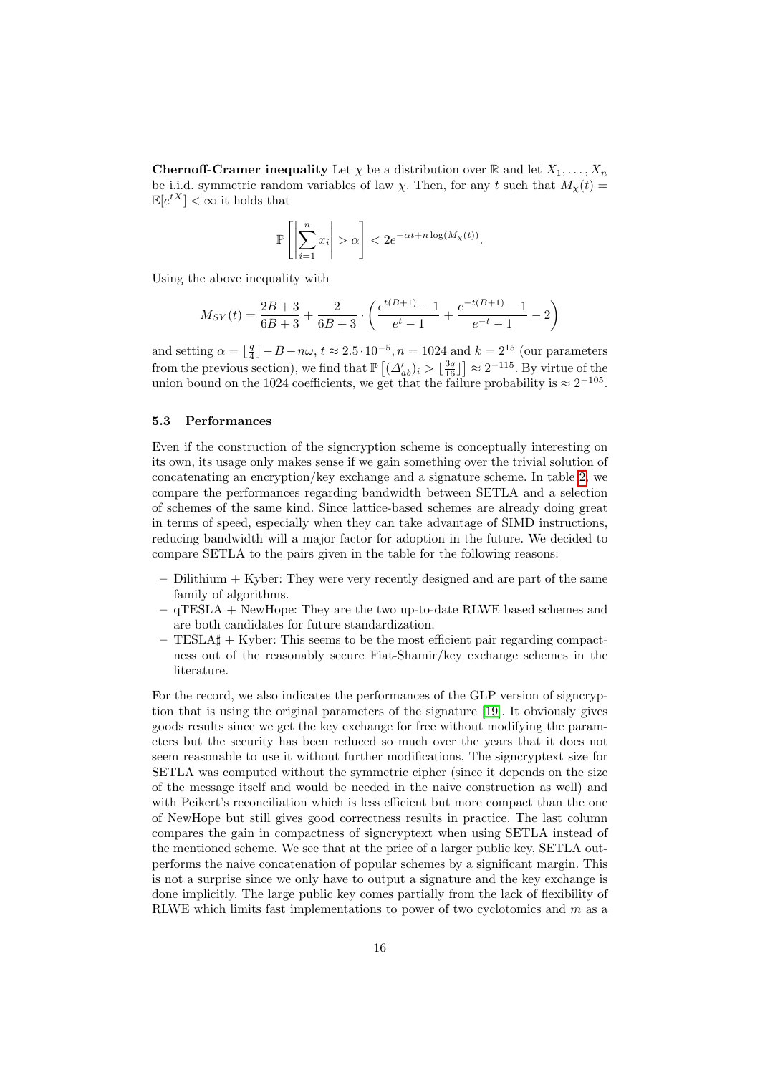**Chernoff-Cramer inequality** Let  $\chi$  be a distribution over R and let  $X_1, \ldots, X_n$ be i.i.d. symmetric random variables of law  $\chi$ . Then, for any t such that  $M_{\chi}(t) =$  $\mathbb{E}[e^{tX}] < \infty$  it holds that

$$
\mathbb{P}\left[\left|\sum_{i=1}^n x_i\right| > \alpha\right] < 2e^{-\alpha t + n\log(M_\chi(t))}.
$$

Using the above inequality with

$$
M_{SY}(t) = \frac{2B+3}{6B+3} + \frac{2}{6B+3}\cdot \left(\frac{e^{t(B+1)}-1}{e^t-1} + \frac{e^{-t(B+1)}-1}{e^{-t}-1} - 2\right)
$$

and setting  $\alpha = \lfloor \frac{q}{4} \rfloor - B - n\omega$ ,  $t \approx 2.5 \cdot 10^{-5}$ ,  $n = 1024$  and  $k = 2^{15}$  (our parameters from the previous section), we find that  $\mathbb{P}\left[ (\Delta'_{ab})_i > \lfloor \frac{3q}{16} \rfloor \right] \approx 2^{-115}$ . By virtue of the union bound on the 1024 coefficients, we get that the failure probability is  $\approx 2^{-105}$ .

#### 5.3 Performances

Even if the construction of the signcryption scheme is conceptually interesting on its own, its usage only makes sense if we gain something over the trivial solution of concatenating an encryption/key exchange and a signature scheme. In table [2,](#page-16-3) we compare the performances regarding bandwidth between SETLA and a selection of schemes of the same kind. Since lattice-based schemes are already doing great in terms of speed, especially when they can take advantage of SIMD instructions, reducing bandwidth will a major factor for adoption in the future. We decided to compare SETLA to the pairs given in the table for the following reasons:

- Dilithium + Kyber: They were very recently designed and are part of the same family of algorithms.
- qTESLA + NewHope: They are the two up-to-date RLWE based schemes and are both candidates for future standardization.
- $-$  TESLA $\sharp$  + Kyber: This seems to be the most efficient pair regarding compactness out of the reasonably secure Fiat-Shamir/key exchange schemes in the literature.

For the record, we also indicates the performances of the GLP version of signcryption that is using the original parameters of the signature [\[19\]](#page-17-2). It obviously gives goods results since we get the key exchange for free without modifying the parameters but the security has been reduced so much over the years that it does not seem reasonable to use it without further modifications. The signcryptext size for SETLA was computed without the symmetric cipher (since it depends on the size of the message itself and would be needed in the naive construction as well) and with Peikert's reconciliation which is less efficient but more compact than the one of NewHope but still gives good correctness results in practice. The last column compares the gain in compactness of signcryptext when using SETLA instead of the mentioned scheme. We see that at the price of a larger public key, SETLA outperforms the naive concatenation of popular schemes by a significant margin. This is not a surprise since we only have to output a signature and the key exchange is done implicitly. The large public key comes partially from the lack of flexibility of RLWE which limits fast implementations to power of two cyclotomics and  $m$  as a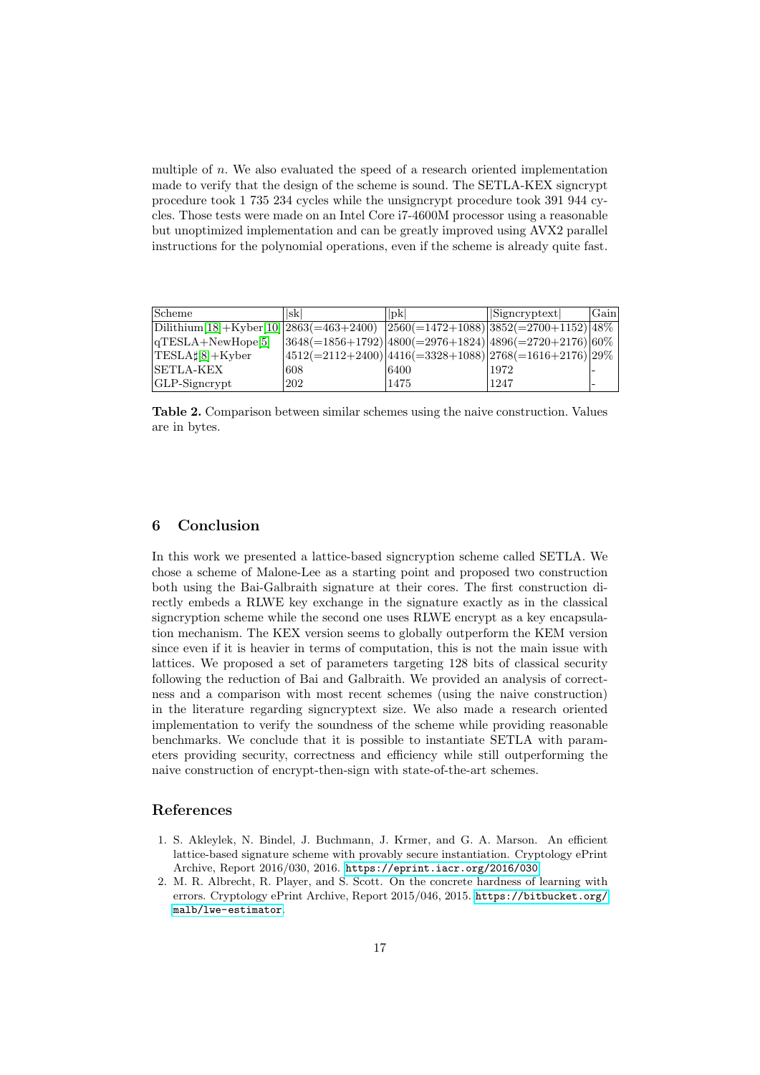multiple of n. We also evaluated the speed of a research oriented implementation made to verify that the design of the scheme is sound. The SETLA-KEX signcrypt procedure took 1 735 234 cycles while the unsigncrypt procedure took 391 944 cycles. Those tests were made on an Intel Core i7-4600M processor using a reasonable but unoptimized implementation and can be greatly improved using AVX2 parallel instructions for the polynomial operations, even if the scheme is already quite fast.

| <b>Scheme</b>                                                                                                   | sk  | $\vert \vert$ <sub>D</sub> k $\vert$                       | $\vert$ Signcryptext $\vert$ | Gain |
|-----------------------------------------------------------------------------------------------------------------|-----|------------------------------------------------------------|------------------------------|------|
| $\text{Dilithium}[18]+$ Kyber $\text{D[10]}$ 2863(=463+2400) $\text{F[2560]}$ (=1472+1088) 3852(=2700+1152) 48% |     |                                                            |                              |      |
| $qTESLA + NewHope[5]$                                                                                           |     | $ 3648(=1856+1792) 4800(=2976+1824) 4896(=2720+2176) 60\%$ |                              |      |
| $ TESLA \sharp  8  + Kyber$                                                                                     |     | $ 4512(=2112+2400) 4416(=3328+1088) 2768(=1616+2176) 29\%$ |                              |      |
| <b>SETLA-KEX</b>                                                                                                | 608 | 16400                                                      | 1972                         |      |
| $ GLP-Signcrypt$                                                                                                | 202 | 1475                                                       | 1247                         |      |

<span id="page-16-3"></span>Table 2. Comparison between similar schemes using the naive construction. Values are in bytes.

# <span id="page-16-0"></span>6 Conclusion

In this work we presented a lattice-based signcryption scheme called SETLA. We chose a scheme of Malone-Lee as a starting point and proposed two construction both using the Bai-Galbraith signature at their cores. The first construction directly embeds a RLWE key exchange in the signature exactly as in the classical signcryption scheme while the second one uses RLWE encrypt as a key encapsulation mechanism. The KEX version seems to globally outperform the KEM version since even if it is heavier in terms of computation, this is not the main issue with lattices. We proposed a set of parameters targeting 128 bits of classical security following the reduction of Bai and Galbraith. We provided an analysis of correctness and a comparison with most recent schemes (using the naive construction) in the literature regarding signcryptext size. We also made a research oriented implementation to verify the soundness of the scheme while providing reasonable benchmarks. We conclude that it is possible to instantiate SETLA with parameters providing security, correctness and efficiency while still outperforming the naive construction of encrypt-then-sign with state-of-the-art schemes.

### References

- <span id="page-16-1"></span>1. S. Akleylek, N. Bindel, J. Buchmann, J. Krmer, and G. A. Marson. An efficient lattice-based signature scheme with provably secure instantiation. Cryptology ePrint Archive, Report 2016/030, 2016. <https://eprint.iacr.org/2016/030>.
- <span id="page-16-2"></span>2. M. R. Albrecht, R. Player, and S. Scott. On the concrete hardness of learning with errors. Cryptology ePrint Archive, Report 2015/046, 2015. [https://bitbucket.org/](https://bitbucket.org/malb/lwe-estimator) [malb/lwe-estimator](https://bitbucket.org/malb/lwe-estimator).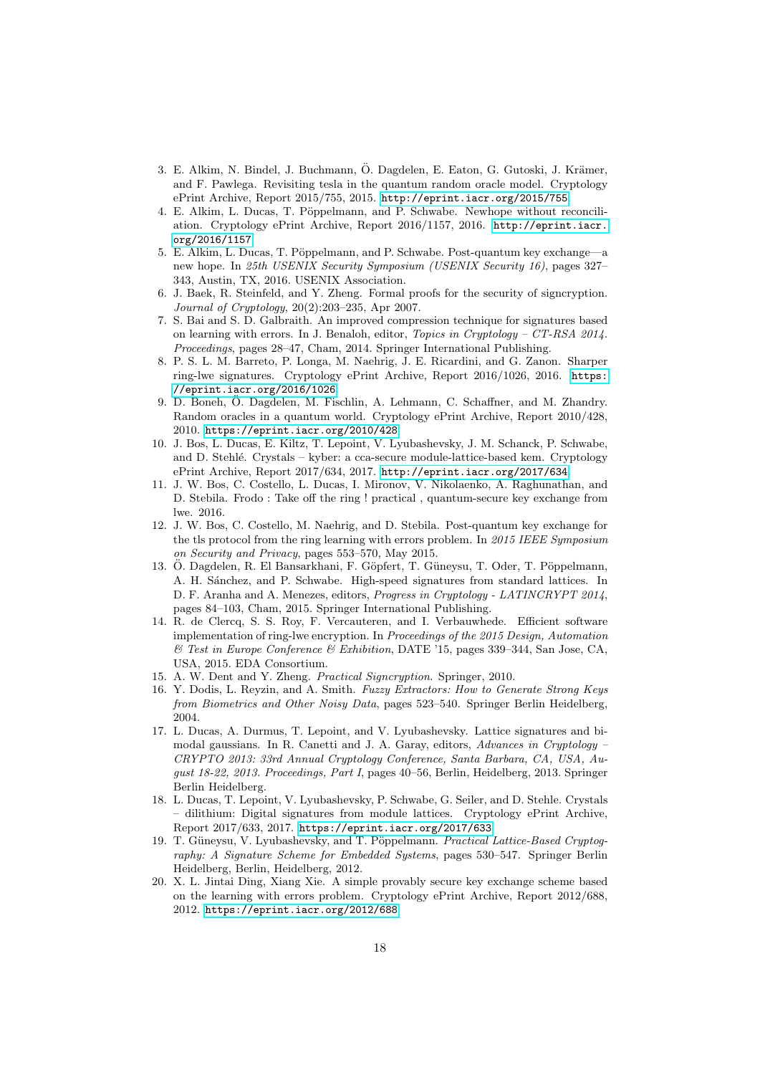- <span id="page-17-10"></span>3. E. Alkim, N. Bindel, J. Buchmann, O. Dagdelen, E. Eaton, G. Gutoski, J. Krämer, and F. Pawlega. Revisiting tesla in the quantum random oracle model. Cryptology ePrint Archive, Report 2015/755, 2015. <http://eprint.iacr.org/2015/755>.
- <span id="page-17-12"></span>4. E. Alkim, L. Ducas, T. Pöppelmann, and P. Schwabe. Newhope without reconciliation. Cryptology ePrint Archive, Report 2016/1157, 2016. [http://eprint.iacr.](http://eprint.iacr.org/2016/1157) [org/2016/1157](http://eprint.iacr.org/2016/1157).
- <span id="page-17-5"></span>5. E. Alkim, L. Ducas, T. Pöppelmann, and P. Schwabe. Post-quantum key exchange—a new hope. In 25th USENIX Security Symposium (USENIX Security 16), pages 327– 343, Austin, TX, 2016. USENIX Association.
- <span id="page-17-14"></span>6. J. Baek, R. Steinfeld, and Y. Zheng. Formal proofs for the security of signcryption. Journal of Cryptology, 20(2):203–235, Apr 2007.
- <span id="page-17-1"></span>7. S. Bai and S. D. Galbraith. An improved compression technique for signatures based on learning with errors. In J. Benaloh, editor, Topics in Cryptology – CT-RSA 2014. Proceedings, pages 28–47, Cham, 2014. Springer International Publishing.
- <span id="page-17-11"></span>8. P. S. L. M. Barreto, P. Longa, M. Naehrig, J. E. Ricardini, and G. Zanon. Sharper ring-lwe signatures. Cryptology ePrint Archive, Report 2016/1026, 2016. [https:](https://eprint.iacr.org/2016/1026) [//eprint.iacr.org/2016/1026](https://eprint.iacr.org/2016/1026).
- <span id="page-17-16"></span>9. D. Boneh, O. Dagdelen, M. Fischlin, A. Lehmann, C. Schaffner, and M. Zhandry. ¨ Random oracles in a quantum world. Cryptology ePrint Archive, Report 2010/428, 2010. <https://eprint.iacr.org/2010/428>.
- <span id="page-17-13"></span>10. J. Bos, L. Ducas, E. Kiltz, T. Lepoint, V. Lyubashevsky, J. M. Schanck, P. Schwabe, and D. Stehlé. Crystals – kyber: a cca-secure module-lattice-based kem. Cryptology ePrint Archive, Report 2017/634, 2017. <http://eprint.iacr.org/2017/634>.
- <span id="page-17-7"></span>11. J. W. Bos, C. Costello, L. Ducas, I. Mironov, V. Nikolaenko, A. Raghunathan, and D. Stebila. Frodo : Take off the ring ! practical , quantum-secure key exchange from lwe. 2016.
- <span id="page-17-6"></span>12. J. W. Bos, C. Costello, M. Naehrig, and D. Stebila. Post-quantum key exchange for the tls protocol from the ring learning with errors problem. In 2015 IEEE Symposium on Security and Privacy, pages 553–570, May 2015.
- <span id="page-17-17"></span>13. Ö. Dagdelen, R. El Bansarkhani, F. Göpfert, T. Güneysu, T. Oder, T. Pöppelmann, A. H. Sánchez, and P. Schwabe. High-speed signatures from standard lattices. In D. F. Aranha and A. Menezes, editors, Progress in Cryptology - LATINCRYPT 2014, pages 84–103, Cham, 2015. Springer International Publishing.
- <span id="page-17-3"></span>14. R. de Clercq, S. S. Roy, F. Vercauteren, and I. Verbauwhede. Efficient software implementation of ring-lwe encryption. In Proceedings of the 2015 Design, Automation & Test in Europe Conference & Exhibition, DATE '15, pages 339–344, San Jose, CA, USA, 2015. EDA Consortium.
- <span id="page-17-0"></span>15. A. W. Dent and Y. Zheng. Practical Signcryption. Springer, 2010.
- <span id="page-17-8"></span>16. Y. Dodis, L. Reyzin, and A. Smith. Fuzzy Extractors: How to Generate Strong Keys from Biometrics and Other Noisy Data, pages 523–540. Springer Berlin Heidelberg, 2004.
- <span id="page-17-9"></span>17. L. Ducas, A. Durmus, T. Lepoint, and V. Lyubashevsky. Lattice signatures and bimodal gaussians. In R. Canetti and J. A. Garay, editors, Advances in Cryptology – CRYPTO 2013: 33rd Annual Cryptology Conference, Santa Barbara, CA, USA, August 18-22, 2013. Proceedings, Part I, pages 40–56, Berlin, Heidelberg, 2013. Springer Berlin Heidelberg.
- <span id="page-17-15"></span>18. L. Ducas, T. Lepoint, V. Lyubashevsky, P. Schwabe, G. Seiler, and D. Stehle. Crystals – dilithium: Digital signatures from module lattices. Cryptology ePrint Archive, Report 2017/633, 2017. <https://eprint.iacr.org/2017/633>.
- <span id="page-17-2"></span>19. T. Güneysu, V. Lyubashevsky, and T. Pöppelmann. Practical Lattice-Based Cryptography: A Signature Scheme for Embedded Systems, pages 530–547. Springer Berlin Heidelberg, Berlin, Heidelberg, 2012.
- <span id="page-17-4"></span>20. X. L. Jintai Ding, Xiang Xie. A simple provably secure key exchange scheme based on the learning with errors problem. Cryptology ePrint Archive, Report 2012/688, 2012. <https://eprint.iacr.org/2012/688>.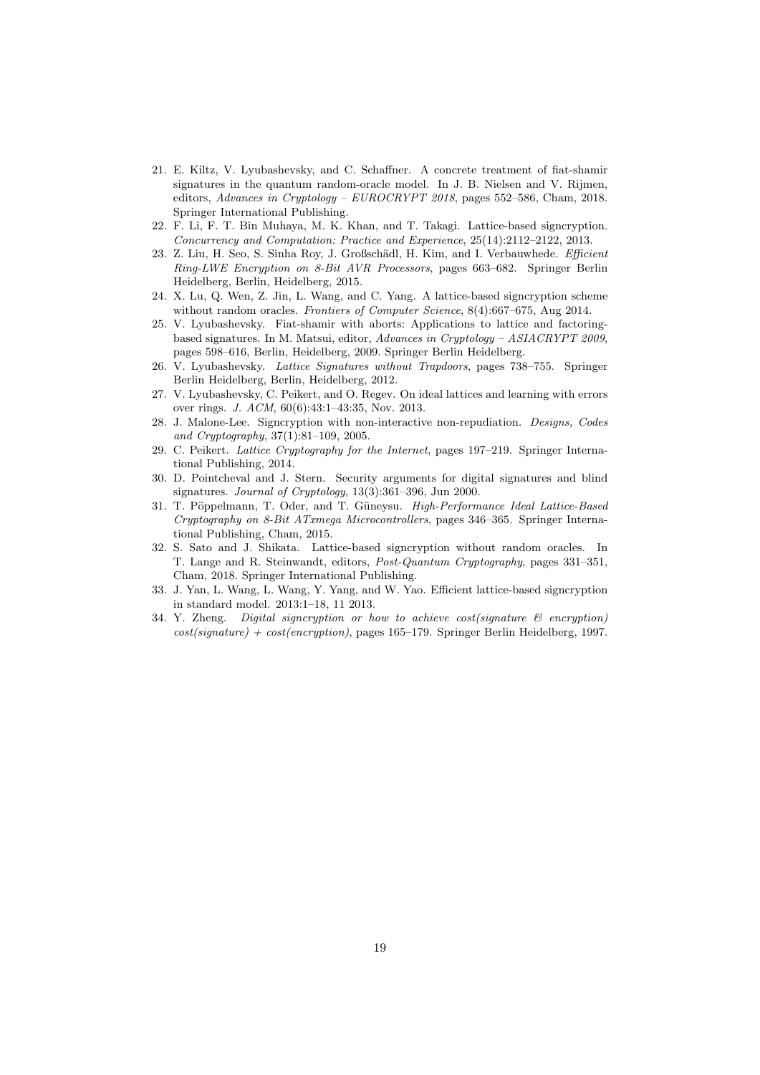- <span id="page-18-13"></span>21. E. Kiltz, V. Lyubashevsky, and C. Schaffner. A concrete treatment of fiat-shamir signatures in the quantum random-oracle model. In J. B. Nielsen and V. Rijmen, editors, Advances in Cryptology – EUROCRYPT 2018, pages 552–586, Cham, 2018. Springer International Publishing.
- <span id="page-18-2"></span>22. F. Li, F. T. Bin Muhaya, M. K. Khan, and T. Takagi. Lattice-based signcryption. Concurrency and Computation: Practice and Experience, 25(14):2112–2122, 2013.
- <span id="page-18-8"></span>23. Z. Liu, H. Seo, S. Sinha Roy, J. Großschädl, H. Kim, and I. Verbauwhede. Efficient Ring-LWE Encryption on 8-Bit AVR Processors, pages 663–682. Springer Berlin Heidelberg, Berlin, Heidelberg, 2015.
- <span id="page-18-4"></span>24. X. Lu, Q. Wen, Z. Jin, L. Wang, and C. Yang. A lattice-based signcryption scheme without random oracles. Frontiers of Computer Science, 8(4):667–675, Aug 2014.
- <span id="page-18-10"></span>25. V. Lyubashevsky. Fiat-shamir with aborts: Applications to lattice and factoringbased signatures. In M. Matsui, editor, Advances in Cryptology – ASIACRYPT 2009, pages 598–616, Berlin, Heidelberg, 2009. Springer Berlin Heidelberg.
- <span id="page-18-11"></span>26. V. Lyubashevsky. Lattice Signatures without Trapdoors, pages 738–755. Springer Berlin Heidelberg, Berlin, Heidelberg, 2012.
- <span id="page-18-6"></span>27. V. Lyubashevsky, C. Peikert, and O. Regev. On ideal lattices and learning with errors over rings. J. ACM, 60(6):43:1–43:35, Nov. 2013.
- <span id="page-18-1"></span>28. J. Malone-Lee. Signcryption with non-interactive non-repudiation. Designs, Codes and Cryptography, 37(1):81–109, 2005.
- <span id="page-18-9"></span>29. C. Peikert. Lattice Cryptography for the Internet, pages 197–219. Springer International Publishing, 2014.
- <span id="page-18-12"></span>30. D. Pointcheval and J. Stern. Security arguments for digital signatures and blind signatures. Journal of Cryptology, 13(3):361–396, Jun 2000.
- <span id="page-18-7"></span>31. T. Pöppelmann, T. Oder, and T. Güneysu. High-Performance Ideal Lattice-Based Cryptography on 8-Bit ATxmega Microcontrollers, pages 346–365. Springer International Publishing, Cham, 2015.
- <span id="page-18-5"></span>32. S. Sato and J. Shikata. Lattice-based signcryption without random oracles. In T. Lange and R. Steinwandt, editors, Post-Quantum Cryptography, pages 331–351, Cham, 2018. Springer International Publishing.
- <span id="page-18-3"></span>33. J. Yan, L. Wang, L. Wang, Y. Yang, and W. Yao. Efficient lattice-based signcryption in standard model. 2013:1–18, 11 2013.
- <span id="page-18-0"></span>34. Y. Zheng. Digital signcryption or how to achieve cost(signature & encryption)  $cost(signature) + cost(encryption)$ , pages 165-179. Springer Berlin Heidelberg, 1997.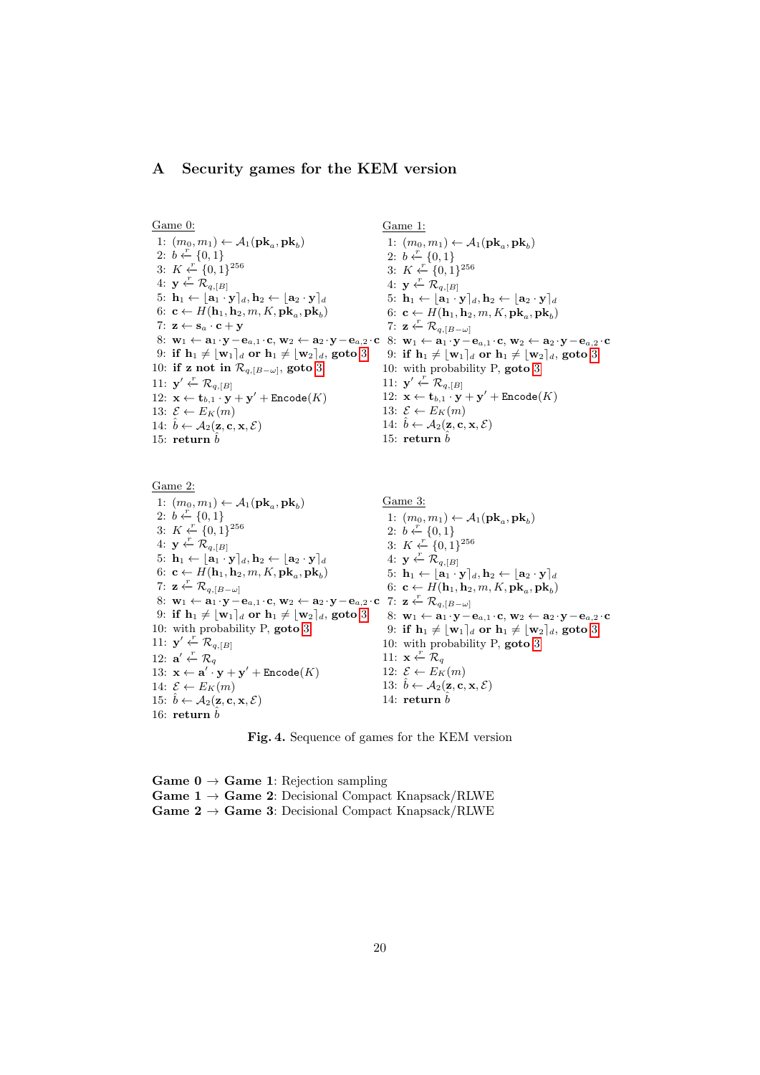# <span id="page-19-1"></span>A Security games for the KEM version

Game 0: 1:  $(m_0, m_1) \leftarrow \mathcal{A}_1(\mathbf{pk}_a, \mathbf{pk}_b)$ 2:  $\vec{b} \leftarrow \{0, 1\}$ 3:  $K \leftarrow \{0, 1\}^{256}$ 4:  $\mathbf{y} \leftarrow \mathcal{R}_{q,[B]}$ 5:  $\mathbf{h}_1 \leftarrow [\mathbf{a}_1 \cdot \mathbf{y}]_d, \mathbf{h}_2 \leftarrow [\mathbf{a}_2 \cdot \mathbf{y}]_d$ 6:  $\mathbf{c} \leftarrow H(\mathbf{h}_1, \mathbf{h}_2, m, K, \mathbf{pk}_a, \mathbf{pk}_b)$ 7:  $\mathbf{z} \leftarrow \mathbf{s}_a \cdot \mathbf{c} + \mathbf{y}$ 8:  $\mathbf{w}_1 \leftarrow \mathbf{a}_1 \cdot \mathbf{y} - \mathbf{e}_{a,1} \cdot \mathbf{c}, \mathbf{w}_2 \leftarrow \mathbf{a}_2 \cdot \mathbf{y} - \mathbf{e}_{a,2} \cdot \mathbf{c}$  8:  $\mathbf{w}_1 \leftarrow \mathbf{a}_1 \cdot \mathbf{y} - \mathbf{e}_{a,1} \cdot \mathbf{c}, \mathbf{w}_2 \leftarrow \mathbf{a}_2 \cdot \mathbf{y} - \mathbf{e}_{a,2} \cdot \mathbf{c}$ 9: if  $\mathbf{h}_1 \neq [\mathbf{w}_1]_d$  or  $\mathbf{h}_1 \neq [\mathbf{w}_2]_d$ , goto [3](#page-11-2) 10: if z not in  $\mathcal{R}_{q,[B-\omega]}$ , goto [3](#page-11-2) 11:  $\mathbf{y}' \leftarrow \mathcal{R}_{q,[B]}$ 12:  $\mathbf{x} \leftarrow \mathbf{t}_{b,1} \cdot \mathbf{y} + \mathbf{y}' + \text{Encode}(K)$ 13:  $\mathcal{E} \leftarrow E_K(m)$ 14:  $\hat{b} \leftarrow \mathcal{A}_2(\mathbf{z}, \mathbf{c}, \mathbf{x}, \mathcal{E})$ 15: return  $\hat{b}$ Game 1: 1:  $(m_0, m_1) \leftarrow \mathcal{A}_1(\mathbf{pk}_a, \mathbf{pk}_b)$ 2:  $\vec{b} \leftarrow \{0, 1\}$ 3:  $K \leftarrow \{0, 1\}^{256}$ 4: **y** ←  $\mathcal{R}_{q,[B]}$ 5:  $\mathbf{h}_1 \leftarrow [\mathbf{a}_1 \cdot \mathbf{y}]_d, \mathbf{h}_2 \leftarrow [\mathbf{a}_2 \cdot \mathbf{y}]_d$ 6: **c**  $\leftarrow$   $H(\mathbf{h}_1, \mathbf{h}_2, m, K, \mathbf{pk}_a, \mathbf{pk}_b)$ 7:  $\mathbf{z} \leftarrow \mathcal{R}_{q,[B-\omega]}$ 9: if  $\mathbf{h}_1 \neq [\mathbf{w}_1]_d$  or  $\mathbf{h}_1 \neq [\mathbf{w}_2]_d$ , goto [3](#page-11-2) 10: with probability P, goto [3](#page-11-2) 11:  $\mathbf{y}' \leftarrow \mathcal{R}_{q,[B]}$ 12:  $\mathbf{x} \leftarrow \mathbf{t}_{b,1} \cdot \mathbf{y} + \mathbf{y}' + \text{Encode}(K)$ 13:  $\mathcal{E} \leftarrow E_K(m)$ 14:  $\hat{b} \leftarrow A_2(\mathbf{z}, \mathbf{c}, \mathbf{x}, \mathcal{E})$ 15: return  $\hat{b}$ Game 2: 1:  $(m_0, m_1) \leftarrow \mathcal{A}_1(\mathbf{pk}_a, \mathbf{pk}_b)$ Game 3:

2:  $\vec{b} \leftarrow \{0, 1\}$ 3:  $K \leftarrow \{0, 1\}^{256}$ 4:  $\mathbf{y} \leftarrow \mathcal{R}_{q,[B]}$ 5:  $\mathbf{h}_1 \leftarrow [\mathbf{a}_1 \cdot \mathbf{y}]_d, \mathbf{h}_2 \leftarrow [\mathbf{a}_2 \cdot \mathbf{y}]_d$ 6: **c**  $\leftarrow$   $H(\mathbf{h}_1, \mathbf{h}_2, m, K, \mathbf{pk}_a, \mathbf{pk}_b)$ 7:  $\mathbf{z} \leftarrow \mathcal{R}_{q,[B-\omega]}$ 8:  $\mathbf{w}_1 \leftarrow \mathbf{a}_1 \cdot \mathbf{y} - \mathbf{e}_{a,1} \cdot \mathbf{c}, \mathbf{w}_2 \leftarrow \mathbf{a}_2 \cdot \mathbf{y} - \mathbf{e}_{a,2} \cdot \mathbf{c}$ 9: if  $\mathbf{h}_1 \neq [\mathbf{w}_1]_d$  or  $\mathbf{h}_1 \neq [\mathbf{w}_2]_d$ , goto [3](#page-11-2) 10: with probability P, goto [3](#page-11-2) 11:  $\mathbf{y}' \leftarrow \mathcal{R}_{q,[B]}$ 12:  $\mathbf{a}' \leftarrow \mathcal{R}_q$ 13:  $\mathbf{x} \leftarrow \mathbf{a}' \cdot \mathbf{y} + \mathbf{y}' + \text{Encode}(K)$ 14:  $\mathcal{E} \leftarrow E_K(m)$ 15:  $\hat{b} \leftarrow A_2(\mathbf{z}, \mathbf{c}, \mathbf{x}, \mathcal{E})$ 16: return  $\hat{b}$ 1:  $(m_0, m_1) \leftarrow A_1(\mathbf{pk}_a, \mathbf{pk}_b)$ 2:  $b \leftarrow \{0, 1\}$ 3:  $K \leftarrow \{0, 1\}^{256}$ 4:  $\mathbf{y} \leftarrow \mathcal{R}_{q,[B]}$ 5:  $\mathbf{h}_1 \leftarrow [\mathbf{a}_1 \cdot \mathbf{y}]_d, \mathbf{h}_2 \leftarrow [\mathbf{a}_2 \cdot \mathbf{y}]_d$ 6:  $\mathbf{c} \leftarrow H(\mathbf{h}_1, \mathbf{h}_2, m, K, \mathbf{pk}_a, \mathbf{pk}_b)$ 7:  $\mathbf{z} \leftarrow \mathcal{R}_{q,[B-\omega]}$ 8:  $\mathbf{w}_1 \leftarrow \mathbf{a}_1 \cdot \mathbf{y} - \mathbf{e}_{a,1} \cdot \mathbf{c}, \mathbf{w}_2 \leftarrow \mathbf{a}_2 \cdot \mathbf{y} - \mathbf{e}_{a,2} \cdot \mathbf{c}$ 9: if  $\mathbf{h}_1 \neq [\mathbf{w}_1]_d$  or  $\mathbf{h}_1 \neq [\mathbf{w}_2]_d$ , goto [3](#page-11-2) 10: with probability P, goto [3](#page-11-2) 11:  $\mathbf{x} \leftarrow \mathbb{R}_q$ 12:  $\mathcal{E} \leftarrow E_K(m)$ 13:  $\hat{b} \leftarrow \mathcal{A}_2(\mathbf{z}, \mathbf{c}, \mathbf{x}, \mathcal{E})$ 14: return  $\hat{b}$ 

Fig. 4. Sequence of games for the KEM version

<span id="page-19-0"></span>**Game 0**  $\rightarrow$  **Game 1:** Rejection sampling **Game 1**  $\rightarrow$  **Game 2:** Decisional Compact Knapsack/RLWE **Game 2**  $\rightarrow$  **Game 3**: Decisional Compact Knapsack/RLWE